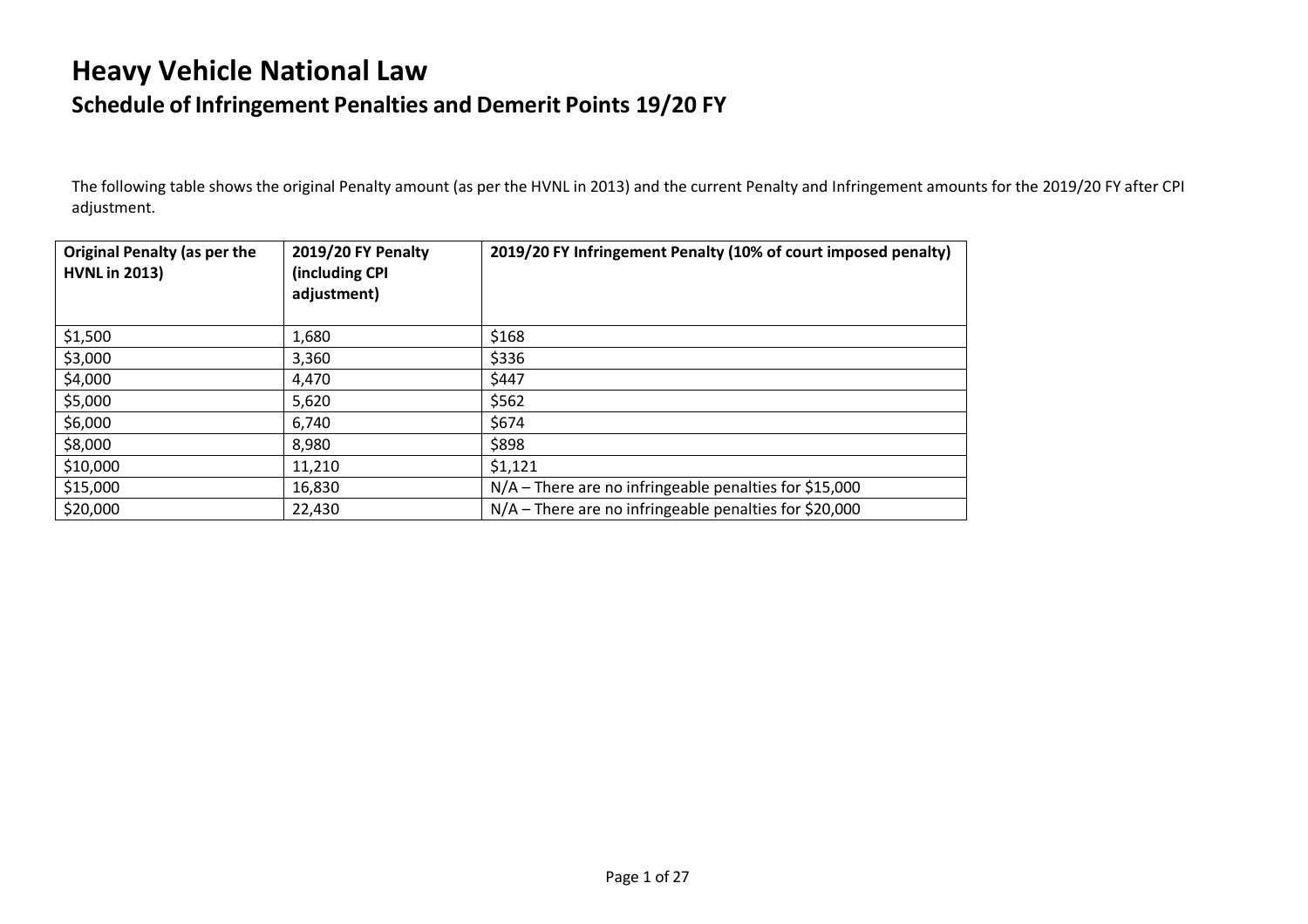## **Heavy Vehicle National Law Schedule of Infringement Penalties and Demerit Points 19/20 FY**

The following table shows the original Penalty amount (as per the HVNL in 2013) and the current Penalty and Infringement amounts for the 2019/20 FY after CPI adjustment.

| <b>Original Penalty (as per the</b><br><b>HVNL in 2013)</b> | <b>2019/20 FY Penalty</b><br>(including CPI<br>adjustment) | 2019/20 FY Infringement Penalty (10% of court imposed penalty) |
|-------------------------------------------------------------|------------------------------------------------------------|----------------------------------------------------------------|
| \$1,500                                                     | 1,680                                                      | \$168                                                          |
| \$3,000                                                     | 3,360                                                      | \$336                                                          |
| \$4,000                                                     | 4,470                                                      | \$447                                                          |
| \$5,000                                                     | 5,620                                                      | \$562                                                          |
| \$6,000                                                     | 6,740                                                      | \$674                                                          |
| \$8,000                                                     | 8,980                                                      | \$898                                                          |
| \$10,000                                                    | 11,210                                                     | \$1,121                                                        |
| \$15,000                                                    | 16,830                                                     | $N/A$ – There are no infringeable penalties for \$15,000       |
| \$20,000                                                    | 22,430                                                     | $N/A$ – There are no infringeable penalties for \$20,000       |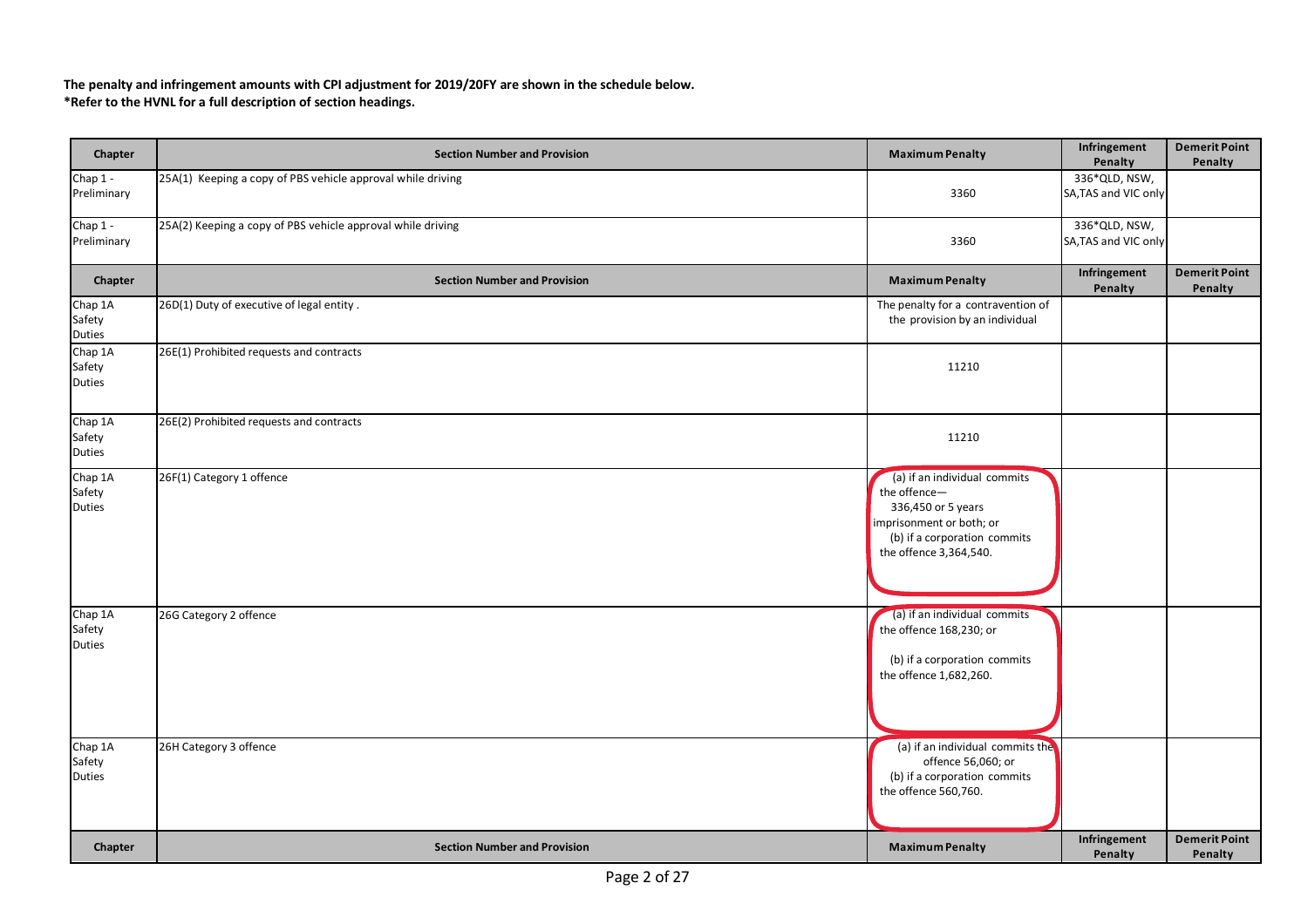**The penalty and infringement amounts with CPI adjustment for 2019/20FY are shown in the schedule below. \*Refer to the HVNL for a full description of section headings.**

| Chapter                            | <b>Section Number and Provision</b>                         | <b>Maximum Penalty</b>                                                                                                                                   | Infringement<br>Penalty               | <b>Demerit Point</b><br>Penalty |
|------------------------------------|-------------------------------------------------------------|----------------------------------------------------------------------------------------------------------------------------------------------------------|---------------------------------------|---------------------------------|
| Chap 1 -<br>Preliminary            | 25A(1) Keeping a copy of PBS vehicle approval while driving | 3360                                                                                                                                                     | 336*QLD, NSW,<br>SA, TAS and VIC only |                                 |
| Chap 1 -<br>Preliminary            | 25A(2) Keeping a copy of PBS vehicle approval while driving | 3360                                                                                                                                                     | 336*QLD, NSW,<br>SA, TAS and VIC only |                                 |
| Chapter                            | <b>Section Number and Provision</b>                         | <b>Maximum Penalty</b>                                                                                                                                   | Infringement<br>Penalty               | <b>Demerit Point</b><br>Penalty |
| Chap 1A<br>Safety<br>Duties        | 26D(1) Duty of executive of legal entity.                   | The penalty for a contravention of<br>the provision by an individual                                                                                     |                                       |                                 |
| Chap 1A<br>Safety<br><b>Duties</b> | 26E(1) Prohibited requests and contracts                    | 11210                                                                                                                                                    |                                       |                                 |
| Chap 1A<br>Safety<br>Duties        | 26E(2) Prohibited requests and contracts                    | 11210                                                                                                                                                    |                                       |                                 |
| Chap 1A<br>Safety<br><b>Duties</b> | 26F(1) Category 1 offence                                   | (a) if an individual commits<br>the offence-<br>336,450 or 5 years<br>imprisonment or both; or<br>(b) if a corporation commits<br>the offence 3,364,540. |                                       |                                 |
| Chap 1A<br>Safety<br><b>Duties</b> | 26G Category 2 offence                                      | (a) if an individual commits<br>the offence 168,230; or<br>(b) if a corporation commits<br>the offence 1,682,260.                                        |                                       |                                 |
| Chap 1A<br>Safety<br><b>Duties</b> | 26H Category 3 offence                                      | (a) if an individual commits the<br>offence 56,060; or<br>(b) if a corporation commits<br>the offence 560,760.                                           |                                       |                                 |
| Chapter                            | <b>Section Number and Provision</b>                         | <b>Maximum Penalty</b>                                                                                                                                   | Infringement<br>Penalty               | <b>Demerit Point</b><br>Penalty |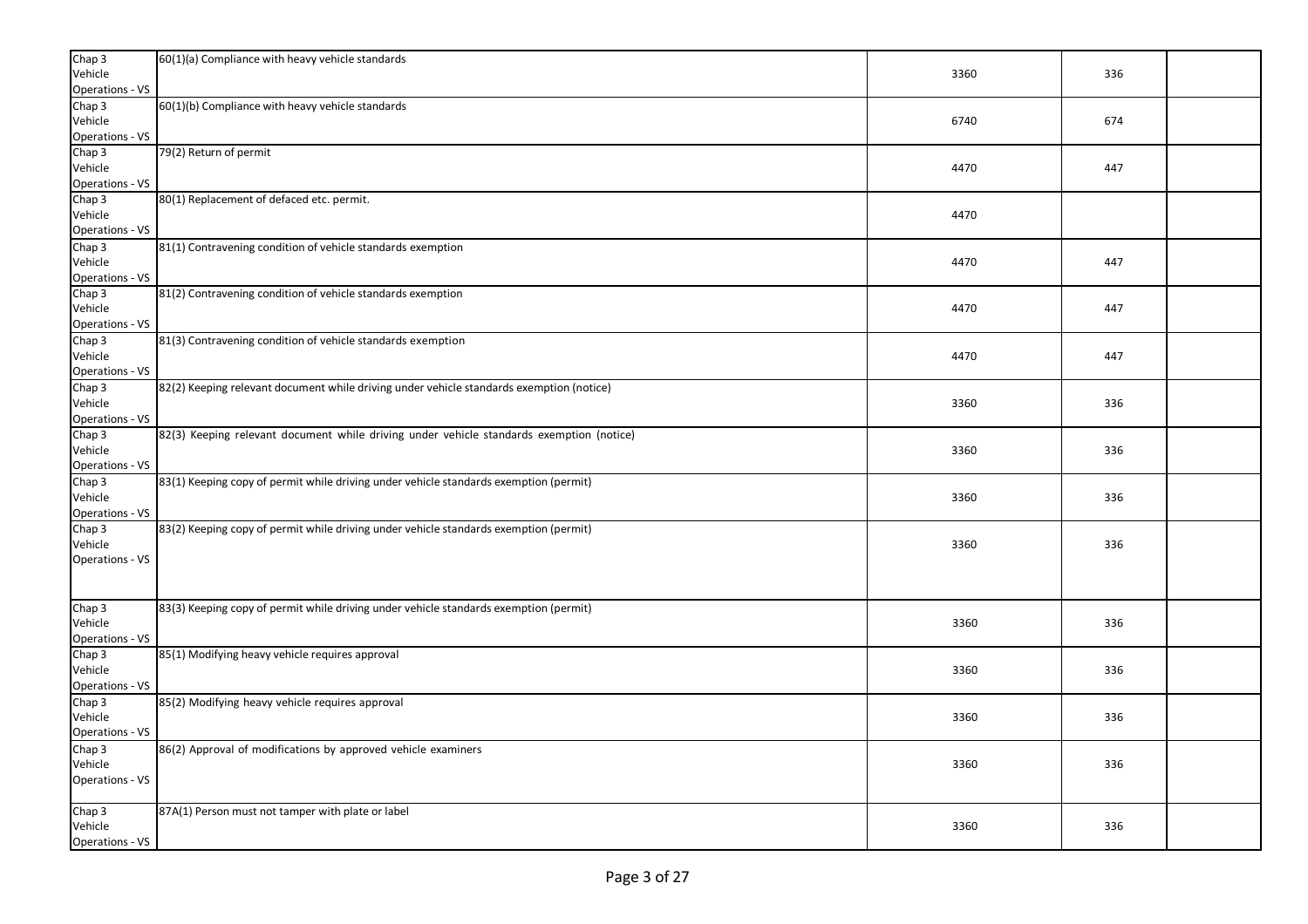| Chap 3                           | 60(1)(a) Compliance with heavy vehicle standards                                         |      |     |  |
|----------------------------------|------------------------------------------------------------------------------------------|------|-----|--|
| Vehicle                          |                                                                                          | 3360 | 336 |  |
| <b>Operations - VS</b><br>Chap 3 | 60(1)(b) Compliance with heavy vehicle standards                                         |      |     |  |
| Vehicle                          |                                                                                          | 6740 | 674 |  |
| Operations - VS                  |                                                                                          |      |     |  |
| Chap 3                           | 79(2) Return of permit                                                                   |      |     |  |
| Vehicle                          |                                                                                          | 4470 | 447 |  |
| Operations - VS                  |                                                                                          |      |     |  |
| Chap 3                           | 80(1) Replacement of defaced etc. permit.                                                |      |     |  |
| Vehicle                          |                                                                                          | 4470 |     |  |
| <b>Operations - VS</b>           |                                                                                          |      |     |  |
| Chap 3                           | 81(1) Contravening condition of vehicle standards exemption                              |      | 447 |  |
| Vehicle<br>Operations - VS       |                                                                                          | 4470 |     |  |
| Chap <sub>3</sub>                | 81(2) Contravening condition of vehicle standards exemption                              |      |     |  |
| Vehicle                          |                                                                                          | 4470 | 447 |  |
| <b>Operations - VS</b>           |                                                                                          |      |     |  |
| Chap 3                           | 81(3) Contravening condition of vehicle standards exemption                              |      |     |  |
| Vehicle                          |                                                                                          | 4470 | 447 |  |
| <b>Operations - VS</b>           |                                                                                          |      |     |  |
| Chap <sub>3</sub>                | 82(2) Keeping relevant document while driving under vehicle standards exemption (notice) |      |     |  |
| Vehicle                          |                                                                                          | 3360 | 336 |  |
| Operations - VS                  |                                                                                          |      |     |  |
| Chap 3                           | 82(3) Keeping relevant document while driving under vehicle standards exemption (notice) |      |     |  |
| Vehicle<br>Operations - VS       |                                                                                          | 3360 | 336 |  |
| Chap 3                           | 83(1) Keeping copy of permit while driving under vehicle standards exemption (permit)    |      |     |  |
| Vehicle                          |                                                                                          | 3360 | 336 |  |
| <b>Operations - VS</b>           |                                                                                          |      |     |  |
| Chap 3                           | 83(2) Keeping copy of permit while driving under vehicle standards exemption (permit)    |      |     |  |
| Vehicle                          |                                                                                          | 3360 | 336 |  |
| <b>Operations - VS</b>           |                                                                                          |      |     |  |
|                                  |                                                                                          |      |     |  |
|                                  |                                                                                          |      |     |  |
| Chap 3                           | 83(3) Keeping copy of permit while driving under vehicle standards exemption (permit)    |      |     |  |
| Vehicle                          |                                                                                          | 3360 | 336 |  |
| <b>Operations - VS</b><br>Chap 3 | 85(1) Modifying heavy vehicle requires approval                                          |      |     |  |
| Vehicle                          |                                                                                          | 3360 | 336 |  |
| <b>Operations - VS</b>           |                                                                                          |      |     |  |
| Chap 3                           | 85(2) Modifying heavy vehicle requires approval                                          |      |     |  |
| Vehicle                          |                                                                                          | 3360 | 336 |  |
| <b>Operations - VS</b>           |                                                                                          |      |     |  |
| Chap 3                           | 86(2) Approval of modifications by approved vehicle examiners                            |      |     |  |
| Vehicle                          |                                                                                          | 3360 | 336 |  |
| Operations - VS                  |                                                                                          |      |     |  |
|                                  |                                                                                          |      |     |  |
| Chap 3                           | 87A(1) Person must not tamper with plate or label                                        |      |     |  |
| Vehicle<br>Operations - VS       |                                                                                          | 3360 | 336 |  |
|                                  |                                                                                          |      |     |  |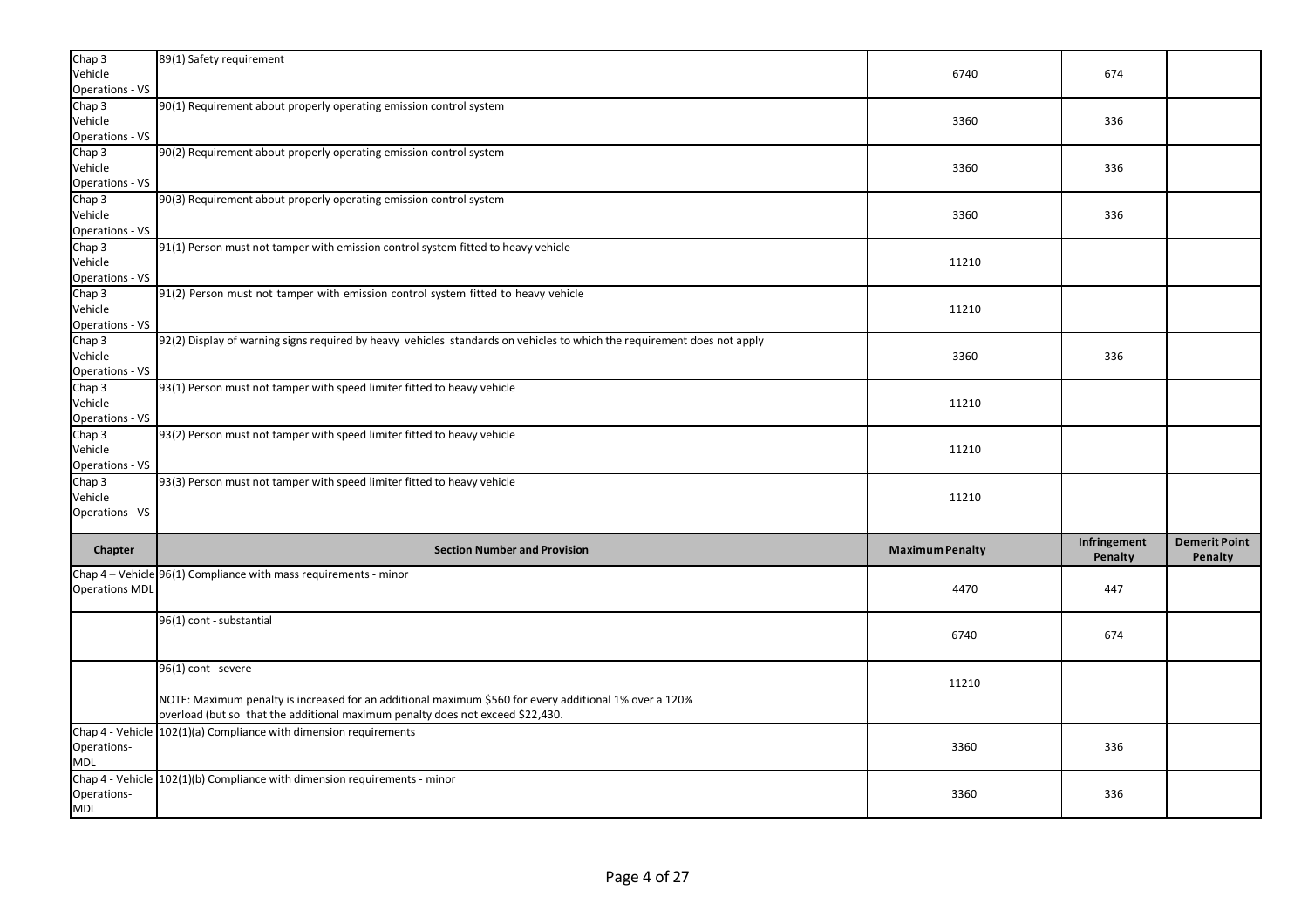| Chap <sub>3</sub><br>Vehicle | 89(1) Safety requirement                                                                                                | 6740                   | 674                     |                                 |
|------------------------------|-------------------------------------------------------------------------------------------------------------------------|------------------------|-------------------------|---------------------------------|
| Operations - VS              |                                                                                                                         |                        |                         |                                 |
| Chap 3                       | 90(1) Requirement about properly operating emission control system                                                      |                        |                         |                                 |
| Vehicle                      |                                                                                                                         | 3360                   | 336                     |                                 |
| <b>Operations - VS</b>       |                                                                                                                         |                        |                         |                                 |
| Chap 3<br>Vehicle            | 90(2) Requirement about properly operating emission control system                                                      | 3360                   | 336                     |                                 |
| Operations - VS              |                                                                                                                         |                        |                         |                                 |
| Chap 3                       | 90(3) Requirement about properly operating emission control system                                                      |                        |                         |                                 |
| Vehicle                      |                                                                                                                         | 3360                   | 336                     |                                 |
| Operations - VS              |                                                                                                                         |                        |                         |                                 |
| Chap 3                       | 91(1) Person must not tamper with emission control system fitted to heavy vehicle                                       |                        |                         |                                 |
| Vehicle                      |                                                                                                                         | 11210                  |                         |                                 |
| Operations - VS              |                                                                                                                         |                        |                         |                                 |
| Chap 3                       | 91(2) Person must not tamper with emission control system fitted to heavy vehicle                                       |                        |                         |                                 |
| Vehicle<br>Operations - VS   |                                                                                                                         | 11210                  |                         |                                 |
| Chap 3                       | 92(2) Display of warning signs required by heavy vehicles standards on vehicles to which the requirement does not apply |                        |                         |                                 |
| Vehicle                      |                                                                                                                         | 3360                   | 336                     |                                 |
| <b>Operations - VS</b>       |                                                                                                                         |                        |                         |                                 |
| Chap 3                       | 93(1) Person must not tamper with speed limiter fitted to heavy vehicle                                                 |                        |                         |                                 |
| Vehicle                      |                                                                                                                         | 11210                  |                         |                                 |
| Operations - VS              |                                                                                                                         |                        |                         |                                 |
| Chap 3                       | 93(2) Person must not tamper with speed limiter fitted to heavy vehicle                                                 |                        |                         |                                 |
| Vehicle                      |                                                                                                                         | 11210                  |                         |                                 |
| <b>Operations - VS</b>       |                                                                                                                         |                        |                         |                                 |
| Chap 3<br>Vehicle            | 93(3) Person must not tamper with speed limiter fitted to heavy vehicle                                                 | 11210                  |                         |                                 |
| Operations - VS              |                                                                                                                         |                        |                         |                                 |
|                              |                                                                                                                         |                        |                         |                                 |
| Chapter                      | <b>Section Number and Provision</b>                                                                                     | <b>Maximum Penalty</b> | Infringement<br>Penalty | <b>Demerit Point</b><br>Penalty |
|                              | Chap 4 – Vehicle 96(1) Compliance with mass requirements - minor                                                        |                        |                         |                                 |
| <b>Operations MDL</b>        |                                                                                                                         |                        |                         |                                 |
|                              |                                                                                                                         | 4470                   | 447                     |                                 |
|                              |                                                                                                                         |                        |                         |                                 |
|                              | 96(1) cont - substantial                                                                                                |                        |                         |                                 |
|                              |                                                                                                                         | 6740                   | 674                     |                                 |
|                              |                                                                                                                         |                        |                         |                                 |
|                              | 96(1) cont - severe                                                                                                     |                        |                         |                                 |
|                              |                                                                                                                         | 11210                  |                         |                                 |
|                              | NOTE: Maximum penalty is increased for an additional maximum \$560 for every additional 1% over a 120%                  |                        |                         |                                 |
|                              | overload (but so that the additional maximum penalty does not exceed \$22,430.                                          |                        |                         |                                 |
| Chap 4 - Vehicle             | 102(1)(a) Compliance with dimension requirements                                                                        | 3360                   | 336                     |                                 |
| Operations-<br><b>MDL</b>    |                                                                                                                         |                        |                         |                                 |
|                              | Chap 4 - Vehicle 102(1)(b) Compliance with dimension requirements - minor                                               |                        |                         |                                 |
| Operations-                  |                                                                                                                         | 3360                   | 336                     |                                 |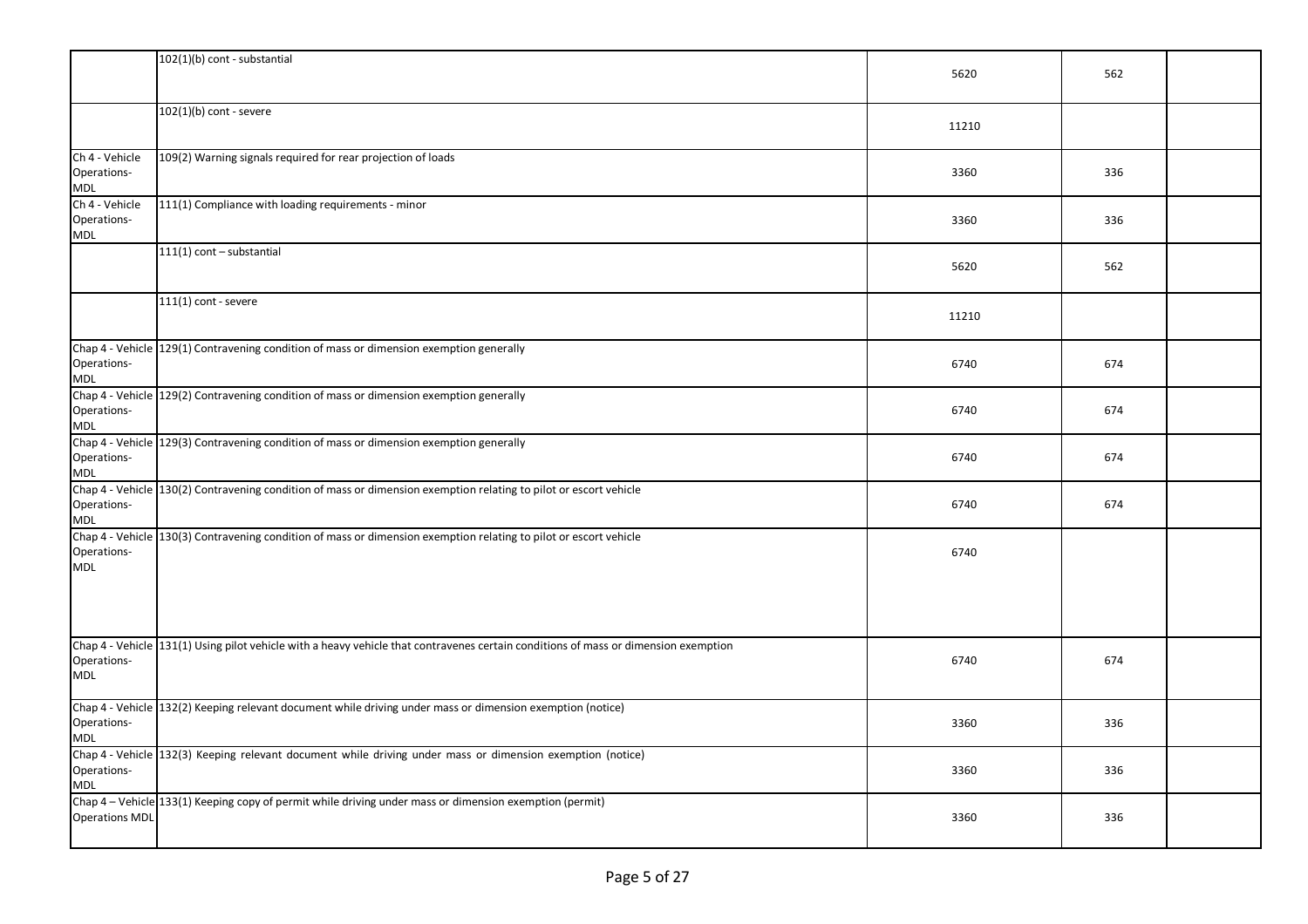|                                             | 102(1)(b) cont - substantial                                                                                                        | 5620  | 562 |  |
|---------------------------------------------|-------------------------------------------------------------------------------------------------------------------------------------|-------|-----|--|
|                                             | $102(1)(b)$ cont - severe                                                                                                           | 11210 |     |  |
| Ch 4 - Vehicle<br>Operations-<br><b>MDL</b> | 109(2) Warning signals required for rear projection of loads                                                                        | 3360  | 336 |  |
| Ch 4 - Vehicle<br>Operations-<br>MDL        | 111(1) Compliance with loading requirements - minor                                                                                 | 3360  | 336 |  |
|                                             | 111(1) cont - substantial                                                                                                           | 5620  | 562 |  |
|                                             | $111(1)$ cont - severe                                                                                                              | 11210 |     |  |
| Operations-<br>MDL                          | Chap 4 - Vehicle 129(1) Contravening condition of mass or dimension exemption generally                                             | 6740  | 674 |  |
| Operations-<br><b>MDL</b>                   | Chap 4 - Vehicle 129(2) Contravening condition of mass or dimension exemption generally                                             | 6740  | 674 |  |
| Operations-<br><b>MDL</b>                   | Chap 4 - Vehicle 129(3) Contravening condition of mass or dimension exemption generally                                             | 6740  | 674 |  |
| Operations-<br><b>MDL</b>                   | Chap 4 - Vehicle 130(2) Contravening condition of mass or dimension exemption relating to pilot or escort vehicle                   | 6740  | 674 |  |
| Operations-<br><b>MDL</b>                   | Chap 4 - Vehicle 130(3) Contravening condition of mass or dimension exemption relating to pilot or escort vehicle                   | 6740  |     |  |
| Operations-<br><b>MDL</b>                   | Chap 4 - Vehicle 131(1) Using pilot vehicle with a heavy vehicle that contravenes certain conditions of mass or dimension exemption | 6740  | 674 |  |
| Operations-<br><b>MDL</b>                   | Chap 4 - Vehicle 132(2) Keeping relevant document while driving under mass or dimension exemption (notice)                          | 3360  | 336 |  |
| Operations-<br><b>MDL</b>                   | Chap 4 - Vehicle 132(3) Keeping relevant document while driving under mass or dimension exemption (notice)                          | 3360  | 336 |  |
| <b>Operations MDL</b>                       | Chap 4 - Vehicle 133(1) Keeping copy of permit while driving under mass or dimension exemption (permit)                             | 3360  | 336 |  |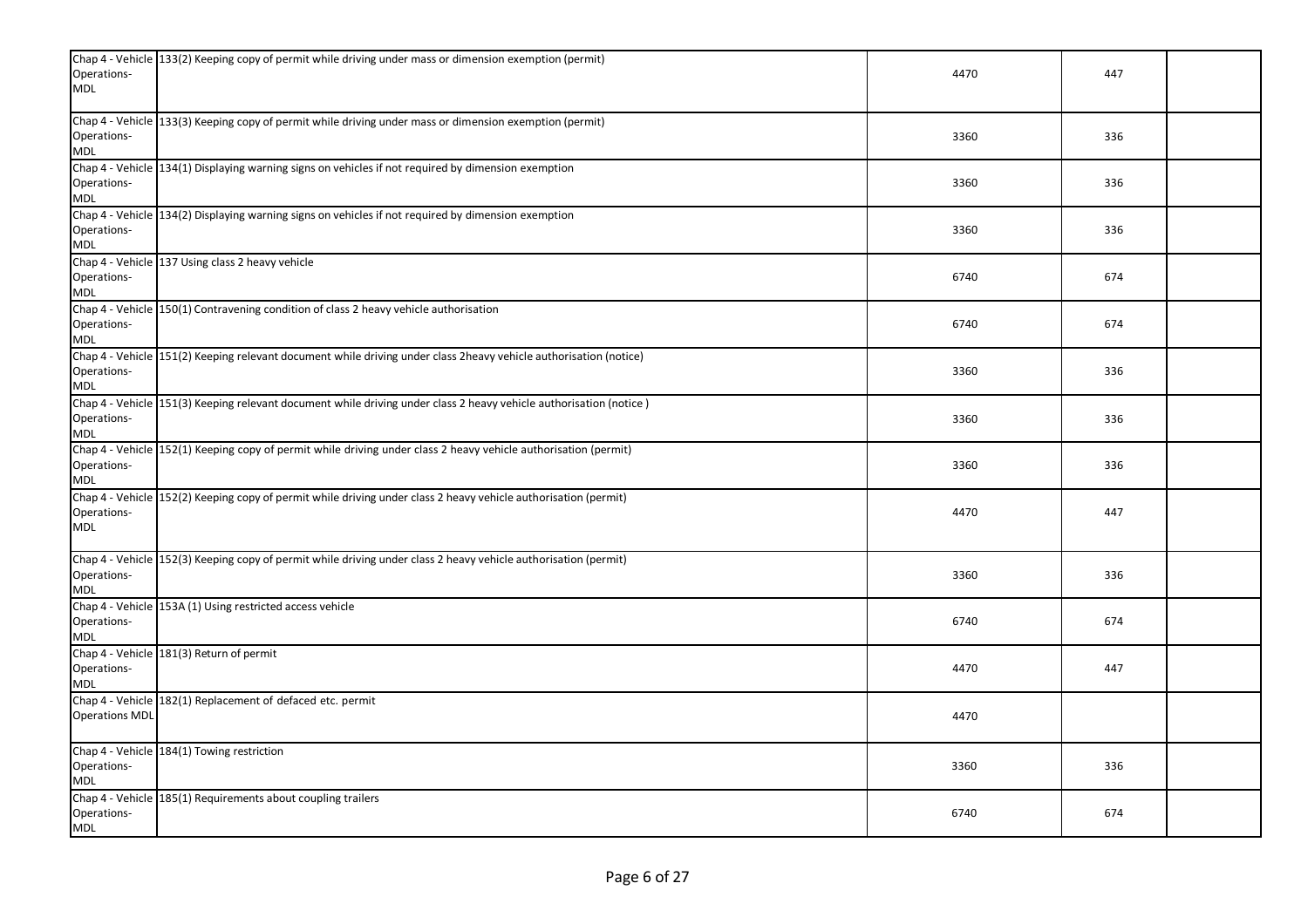| Operations-<br><b>MDL</b> | Chap 4 - Vehicle 133(2) Keeping copy of permit while driving under mass or dimension exemption (permit)            | 4470 | 447 |  |
|---------------------------|--------------------------------------------------------------------------------------------------------------------|------|-----|--|
| Operations-<br><b>MDL</b> | Chap 4 - Vehicle 133(3) Keeping copy of permit while driving under mass or dimension exemption (permit)            | 3360 | 336 |  |
| Operations-<br><b>MDL</b> | Chap 4 - Vehicle 134(1) Displaying warning signs on vehicles if not required by dimension exemption                | 3360 | 336 |  |
| Operations-<br>MDL        | Chap 4 - Vehicle 134(2) Displaying warning signs on vehicles if not required by dimension exemption                | 3360 | 336 |  |
| Operations-<br><b>MDL</b> | Chap 4 - Vehicle 137 Using class 2 heavy vehicle                                                                   | 6740 | 674 |  |
| Operations-<br><b>MDL</b> | Chap 4 - Vehicle 150(1) Contravening condition of class 2 heavy vehicle authorisation                              | 6740 | 674 |  |
| Operations-<br><b>MDL</b> | Chap 4 - Vehicle 151(2) Keeping relevant document while driving under class 2heavy vehicle authorisation (notice)  | 3360 | 336 |  |
| Operations-<br><b>MDL</b> | Chap 4 - Vehicle 151(3) Keeping relevant document while driving under class 2 heavy vehicle authorisation (notice) | 3360 | 336 |  |
| Operations-<br>MDL        | Chap 4 - Vehicle 152(1) Keeping copy of permit while driving under class 2 heavy vehicle authorisation (permit)    | 3360 | 336 |  |
| Operations-<br><b>MDL</b> | Chap 4 - Vehicle 152(2) Keeping copy of permit while driving under class 2 heavy vehicle authorisation (permit)    | 4470 | 447 |  |
| Operations-<br><b>MDL</b> | Chap 4 - Vehicle 152(3) Keeping copy of permit while driving under class 2 heavy vehicle authorisation (permit)    | 3360 | 336 |  |
| Operations-<br><b>MDL</b> | Chap 4 - Vehicle 153A (1) Using restricted access vehicle                                                          | 6740 | 674 |  |
| Operations-<br>MDL        | Chap 4 - Vehicle 181(3) Return of permit                                                                           | 4470 | 447 |  |
| <b>Operations MDL</b>     | Chap 4 - Vehicle 182(1) Replacement of defaced etc. permit                                                         | 4470 |     |  |
| Operations-<br><b>MDL</b> | Chap 4 - Vehicle 184(1) Towing restriction                                                                         | 3360 | 336 |  |
| Operations-<br><b>MDL</b> | Chap 4 - Vehicle 185(1) Requirements about coupling trailers                                                       | 6740 | 674 |  |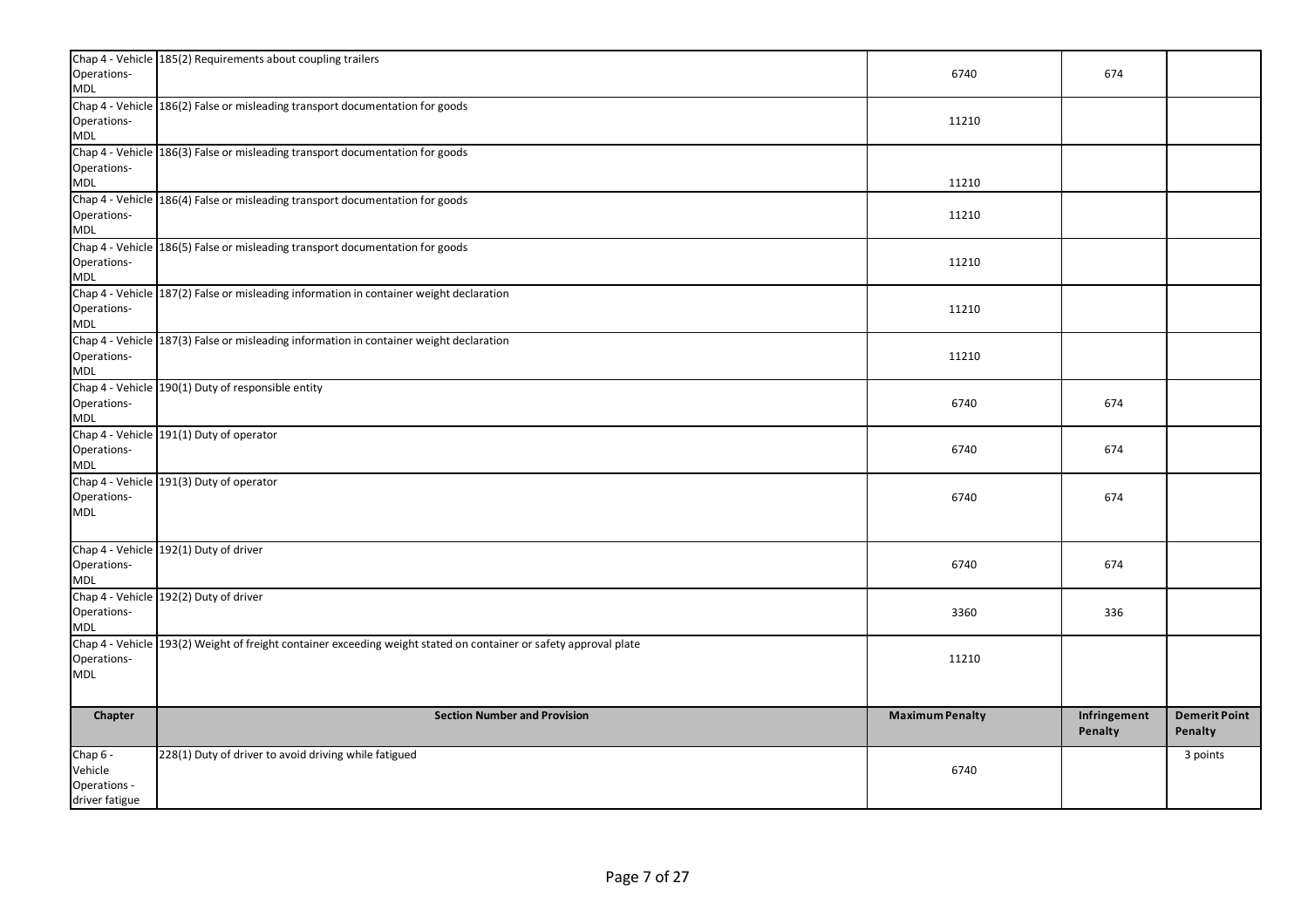| Operations-<br><b>MDL</b>                             | Chap 4 - Vehicle 185(2) Requirements about coupling trailers                                                      | 6740                   | 674                     |                                 |
|-------------------------------------------------------|-------------------------------------------------------------------------------------------------------------------|------------------------|-------------------------|---------------------------------|
| Operations-<br><b>MDL</b>                             | Chap 4 - Vehicle 186(2) False or misleading transport documentation for goods                                     | 11210                  |                         |                                 |
| Operations-<br>MDL                                    | Chap 4 - Vehicle 186(3) False or misleading transport documentation for goods                                     | 11210                  |                         |                                 |
| Operations-<br>MDL                                    | Chap 4 - Vehicle 186(4) False or misleading transport documentation for goods                                     | 11210                  |                         |                                 |
| Operations-<br><b>MDL</b>                             | Chap 4 - Vehicle 186(5) False or misleading transport documentation for goods                                     | 11210                  |                         |                                 |
| Operations-<br>MDL                                    | Chap 4 - Vehicle 187(2) False or misleading information in container weight declaration                           | 11210                  |                         |                                 |
| Operations-<br>MDL                                    | Chap 4 - Vehicle 187(3) False or misleading information in container weight declaration                           | 11210                  |                         |                                 |
| Operations-<br><b>MDL</b>                             | Chap 4 - Vehicle 190(1) Duty of responsible entity                                                                | 6740                   | 674                     |                                 |
| Operations-<br><b>MDL</b>                             | Chap 4 - Vehicle 191(1) Duty of operator                                                                          | 6740                   | 674                     |                                 |
| Operations-<br><b>MDL</b>                             | Chap 4 - Vehicle 191(3) Duty of operator                                                                          | 6740                   | 674                     |                                 |
| Operations-<br><b>MDL</b>                             | Chap 4 - Vehicle 192(1) Duty of driver                                                                            | 6740                   | 674                     |                                 |
| Operations-<br>MDL                                    | Chap 4 - Vehicle 192(2) Duty of driver                                                                            | 3360                   | 336                     |                                 |
| Operations-<br>MDL                                    | Chap 4 - Vehicle 193(2) Weight of freight container exceeding weight stated on container or safety approval plate | 11210                  |                         |                                 |
| Chapter                                               | <b>Section Number and Provision</b>                                                                               | <b>Maximum Penalty</b> | Infringement<br>Penalty | <b>Demerit Point</b><br>Penalty |
| Chap 6 -<br>Vehicle<br>Operations -<br>driver fatigue | 228(1) Duty of driver to avoid driving while fatigued                                                             | 6740                   |                         | 3 points                        |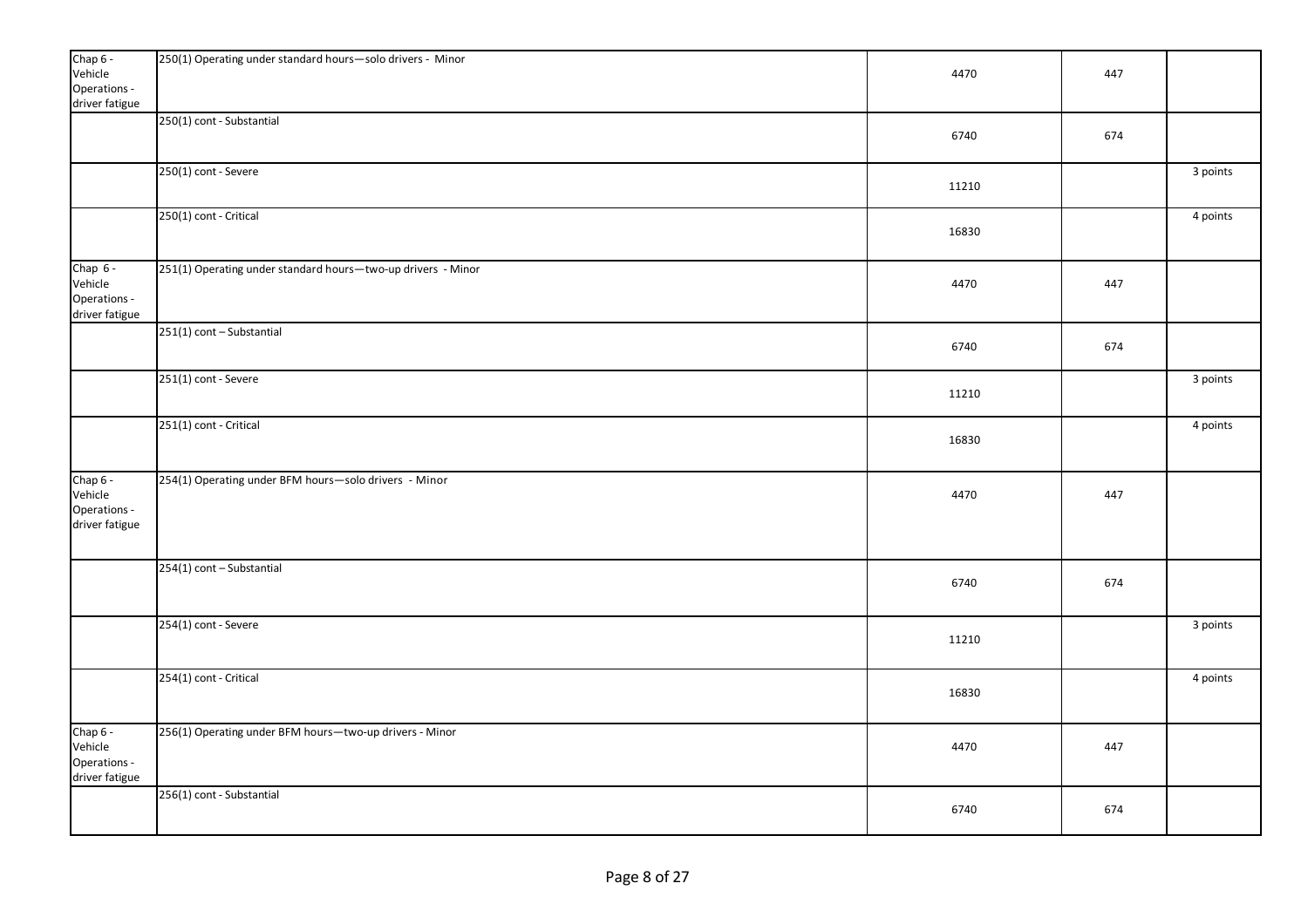| Chap 6 -<br>Vehicle<br>Operations -<br>driver fatigue   | 250(1) Operating under standard hours-solo drivers - Minor   | 4470  | 447 |          |
|---------------------------------------------------------|--------------------------------------------------------------|-------|-----|----------|
|                                                         | 250(1) cont - Substantial                                    | 6740  | 674 |          |
|                                                         | 250(1) cont - Severe                                         | 11210 |     | 3 points |
|                                                         | 250(1) cont - Critical                                       | 16830 |     | 4 points |
| Chap $6 -$<br>Vehicle<br>Operations -<br>driver fatigue | 251(1) Operating under standard hours-two-up drivers - Minor | 4470  | 447 |          |
|                                                         | 251(1) cont - Substantial                                    | 6740  | 674 |          |
|                                                         | 251(1) cont - Severe                                         | 11210 |     | 3 points |
|                                                         | 251(1) cont - Critical                                       | 16830 |     | 4 points |
| Chap 6 -<br>Vehicle<br>Operations -<br>driver fatigue   | 254(1) Operating under BFM hours-solo drivers - Minor        | 4470  | 447 |          |
|                                                         | 254(1) cont - Substantial                                    | 6740  | 674 |          |
|                                                         | 254(1) cont - Severe                                         | 11210 |     | 3 points |
|                                                         | 254(1) cont - Critical                                       | 16830 |     | 4 points |
| Chap 6 -<br>Vehicle<br>Operations -<br>driver fatigue   | 256(1) Operating under BFM hours-two-up drivers - Minor      | 4470  | 447 |          |
|                                                         | 256(1) cont - Substantial                                    | 6740  | 674 |          |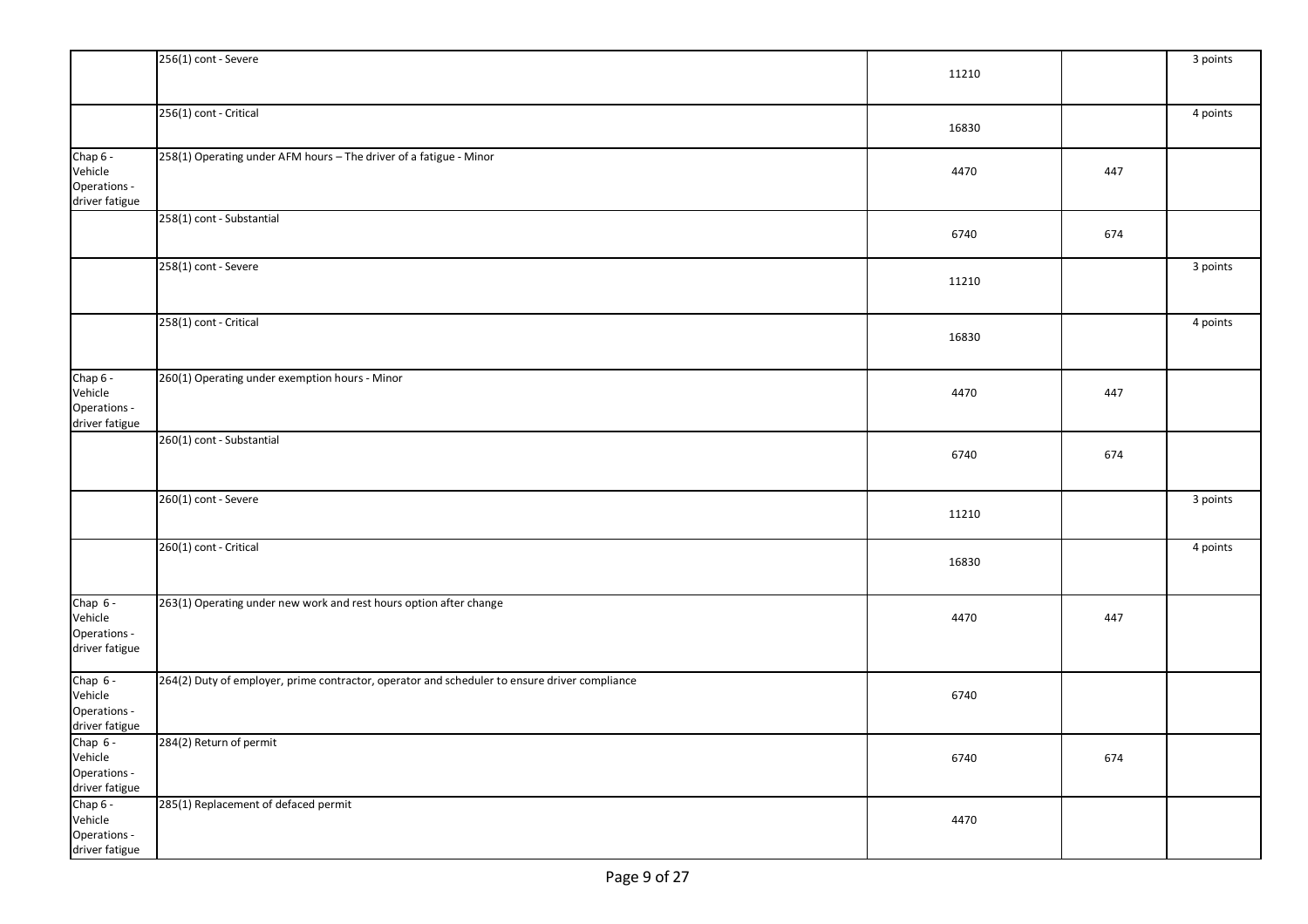|                         | 256(1) cont - Severe                                                                          |       |     | 3 points |
|-------------------------|-----------------------------------------------------------------------------------------------|-------|-----|----------|
|                         |                                                                                               | 11210 |     |          |
|                         |                                                                                               |       |     |          |
|                         | 256(1) cont - Critical                                                                        |       |     | 4 points |
|                         |                                                                                               | 16830 |     |          |
| Chap 6 -                | 258(1) Operating under AFM hours - The driver of a fatigue - Minor                            |       |     |          |
| Vehicle                 |                                                                                               | 4470  | 447 |          |
| Operations -            |                                                                                               |       |     |          |
| driver fatigue          |                                                                                               |       |     |          |
|                         | 258(1) cont - Substantial                                                                     |       |     |          |
|                         |                                                                                               | 6740  | 674 |          |
|                         | 258(1) cont - Severe                                                                          |       |     | 3 points |
|                         |                                                                                               | 11210 |     |          |
|                         |                                                                                               |       |     |          |
|                         | 258(1) cont - Critical                                                                        |       |     | 4 points |
|                         |                                                                                               | 16830 |     |          |
|                         |                                                                                               |       |     |          |
| Chap 6 -                | 260(1) Operating under exemption hours - Minor                                                |       |     |          |
| Vehicle                 |                                                                                               | 4470  | 447 |          |
| Operations -            |                                                                                               |       |     |          |
| driver fatigue          |                                                                                               |       |     |          |
|                         | 260(1) cont - Substantial                                                                     |       |     |          |
|                         |                                                                                               | 6740  | 674 |          |
|                         |                                                                                               |       |     |          |
|                         | 260(1) cont - Severe                                                                          |       |     | 3 points |
|                         |                                                                                               | 11210 |     |          |
|                         |                                                                                               |       |     |          |
|                         | 260(1) cont - Critical                                                                        | 16830 |     | 4 points |
|                         |                                                                                               |       |     |          |
|                         |                                                                                               |       |     |          |
| Chap 6 -<br>Vehicle     | 263(1) Operating under new work and rest hours option after change                            | 4470  | 447 |          |
| Operations -            |                                                                                               |       |     |          |
| driver fatigue          |                                                                                               |       |     |          |
|                         |                                                                                               |       |     |          |
| Chap $6 -$              | 264(2) Duty of employer, prime contractor, operator and scheduler to ensure driver compliance |       |     |          |
| Vehicle<br>Operations - |                                                                                               | 6740  |     |          |
| driver fatigue          |                                                                                               |       |     |          |
| Chap $6 -$              | 284(2) Return of permit                                                                       |       |     |          |
| Vehicle                 |                                                                                               | 6740  | 674 |          |
| Operations -            |                                                                                               |       |     |          |
| driver fatigue          |                                                                                               |       |     |          |
| Chap 6 -<br>Vehicle     | 285(1) Replacement of defaced permit                                                          | 4470  |     |          |
| Operations -            |                                                                                               |       |     |          |
| driver fatigue          |                                                                                               |       |     |          |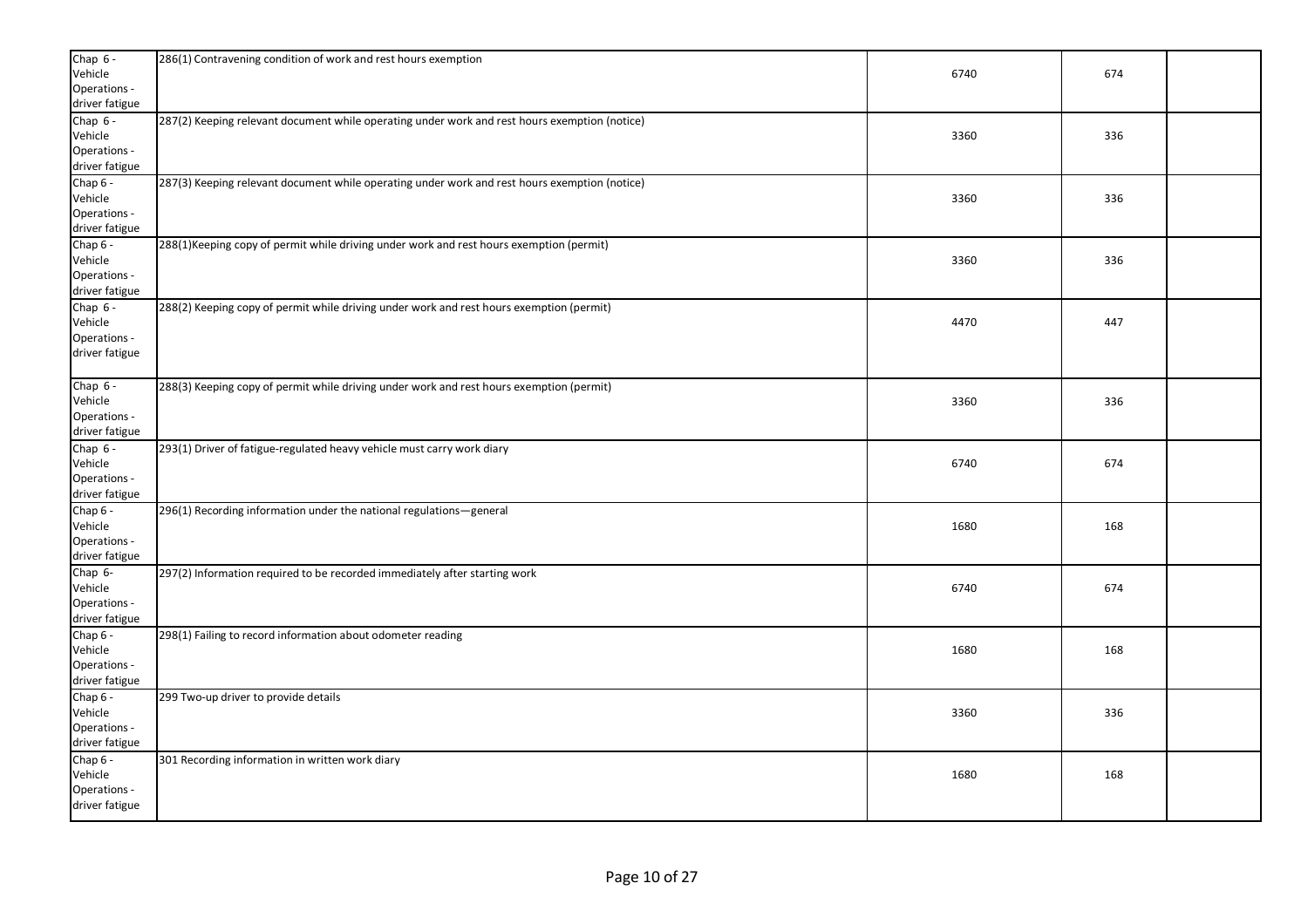| Chap $6 -$<br>Vehicle<br>Operations -<br>driver fatigue | 286(1) Contravening condition of work and rest hours exemption                                | 6740 | 674 |  |
|---------------------------------------------------------|-----------------------------------------------------------------------------------------------|------|-----|--|
| Chap $6 -$<br>Vehicle<br>Operations -<br>driver fatigue | 287(2) Keeping relevant document while operating under work and rest hours exemption (notice) | 3360 | 336 |  |
| Chap 6 -<br>Vehicle<br>Operations -<br>driver fatigue   | 287(3) Keeping relevant document while operating under work and rest hours exemption (notice) | 3360 | 336 |  |
| Chap $6 -$<br>Vehicle<br>Operations -<br>driver fatigue | 288(1) Keeping copy of permit while driving under work and rest hours exemption (permit)      | 3360 | 336 |  |
| Chap $6 -$<br>Vehicle<br>Operations -<br>driver fatigue | 288(2) Keeping copy of permit while driving under work and rest hours exemption (permit)      | 4470 | 447 |  |
| Chap $6 -$<br>Vehicle<br>Operations -<br>driver fatigue | 288(3) Keeping copy of permit while driving under work and rest hours exemption (permit)      | 3360 | 336 |  |
| Chap $6 -$<br>Vehicle<br>Operations -<br>driver fatigue | 293(1) Driver of fatigue-regulated heavy vehicle must carry work diary                        | 6740 | 674 |  |
| Chap 6 -<br>Vehicle<br>Operations -<br>driver fatigue   | 296(1) Recording information under the national regulations-general                           | 1680 | 168 |  |
| Chap 6-<br>Vehicle<br>Operations -<br>driver fatigue    | 297(2) Information required to be recorded immediately after starting work                    | 6740 | 674 |  |
| Chap 6 -<br>Vehicle<br>Operations -<br>driver fatigue   | 298(1) Failing to record information about odometer reading                                   | 1680 | 168 |  |
| Chap 6 -<br>Vehicle<br>Operations -<br>driver fatigue   | 299 Two-up driver to provide details                                                          | 3360 | 336 |  |
| Chap $6 -$<br>Vehicle<br>Operations -<br>driver fatigue | 301 Recording information in written work diary                                               | 1680 | 168 |  |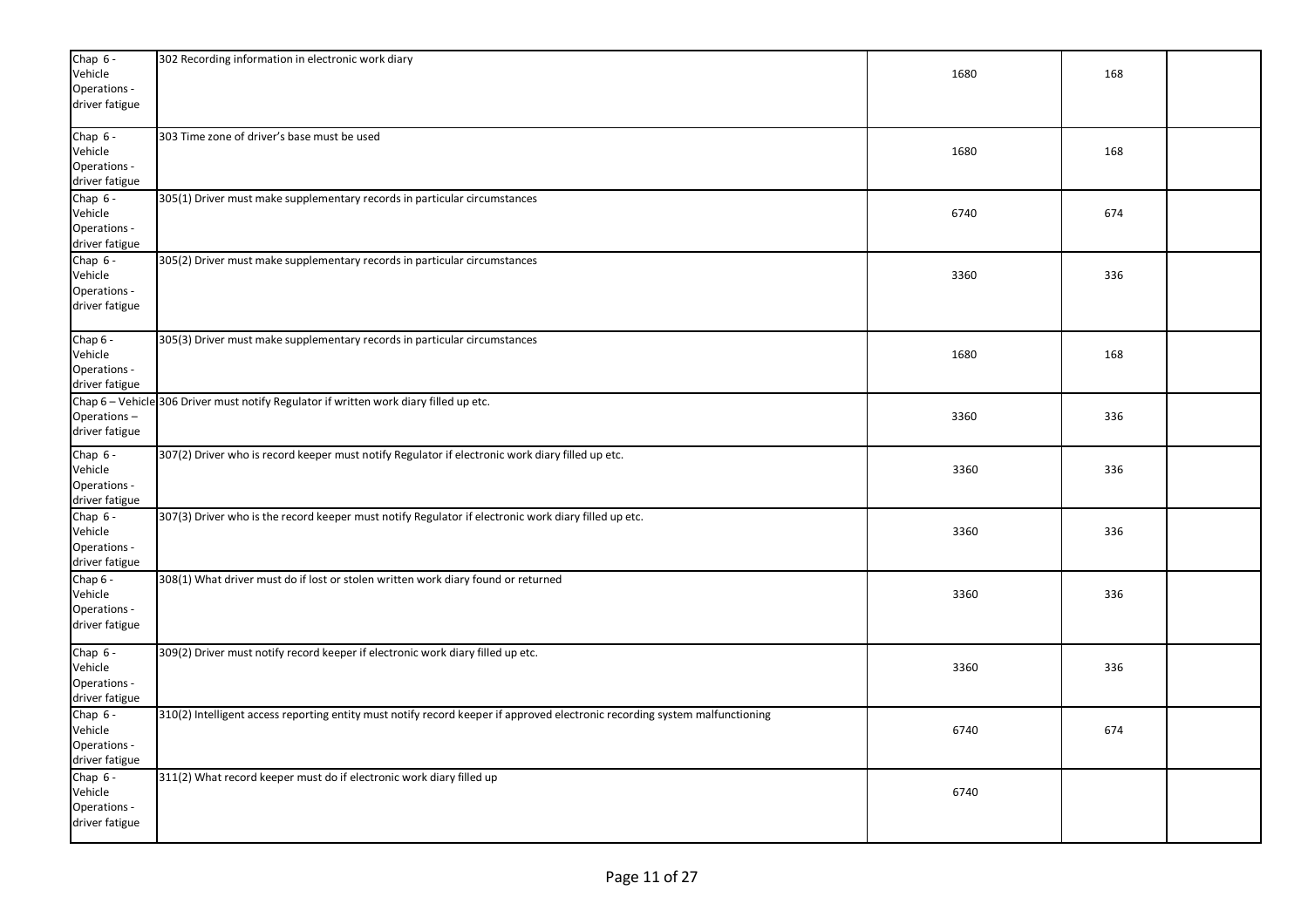| Chap $6 -$     | 302 Recording information in electronic work diary                                                                          |      |     |  |
|----------------|-----------------------------------------------------------------------------------------------------------------------------|------|-----|--|
| Vehicle        |                                                                                                                             | 1680 | 168 |  |
| Operations -   |                                                                                                                             |      |     |  |
| driver fatigue |                                                                                                                             |      |     |  |
| Chap 6 -       | 303 Time zone of driver's base must be used                                                                                 |      |     |  |
| Vehicle        |                                                                                                                             | 1680 | 168 |  |
| Operations -   |                                                                                                                             |      |     |  |
| driver fatigue |                                                                                                                             |      |     |  |
| Chap $6 -$     | 305(1) Driver must make supplementary records in particular circumstances                                                   |      |     |  |
| Vehicle        |                                                                                                                             | 6740 | 674 |  |
| Operations -   |                                                                                                                             |      |     |  |
| driver fatigue |                                                                                                                             |      |     |  |
| Chap 6 -       | 305(2) Driver must make supplementary records in particular circumstances                                                   |      |     |  |
| Vehicle        |                                                                                                                             | 3360 | 336 |  |
| Operations -   |                                                                                                                             |      |     |  |
| driver fatigue |                                                                                                                             |      |     |  |
|                |                                                                                                                             |      |     |  |
| Chap $6 -$     | 305(3) Driver must make supplementary records in particular circumstances                                                   |      |     |  |
| Vehicle        |                                                                                                                             | 1680 | 168 |  |
| Operations -   |                                                                                                                             |      |     |  |
| driver fatigue |                                                                                                                             |      |     |  |
|                | Chap 6 - Vehicle 306 Driver must notify Regulator if written work diary filled up etc.                                      |      |     |  |
| Operations-    |                                                                                                                             | 3360 | 336 |  |
| driver fatigue |                                                                                                                             |      |     |  |
| Chap 6 -       | 307(2) Driver who is record keeper must notify Regulator if electronic work diary filled up etc.                            |      |     |  |
| Vehicle        |                                                                                                                             | 3360 | 336 |  |
| Operations -   |                                                                                                                             |      |     |  |
| driver fatigue |                                                                                                                             |      |     |  |
| Chap $6 -$     | 307(3) Driver who is the record keeper must notify Regulator if electronic work diary filled up etc.                        |      |     |  |
| Vehicle        |                                                                                                                             | 3360 | 336 |  |
| Operations -   |                                                                                                                             |      |     |  |
| driver fatigue |                                                                                                                             |      |     |  |
| Chap 6 -       | 308(1) What driver must do if lost or stolen written work diary found or returned                                           |      |     |  |
| Vehicle        |                                                                                                                             | 3360 | 336 |  |
| Operations -   |                                                                                                                             |      |     |  |
| driver fatigue |                                                                                                                             |      |     |  |
| Chap $6 -$     | 309(2) Driver must notify record keeper if electronic work diary filled up etc.                                             |      |     |  |
| Vehicle        |                                                                                                                             | 3360 | 336 |  |
| Operations -   |                                                                                                                             |      |     |  |
| driver fatigue |                                                                                                                             |      |     |  |
| Chap 6 -       | 310(2) Intelligent access reporting entity must notify record keeper if approved electronic recording system malfunctioning |      |     |  |
| Vehicle        |                                                                                                                             | 6740 | 674 |  |
| Operations -   |                                                                                                                             |      |     |  |
| driver fatigue |                                                                                                                             |      |     |  |
| Chap 6 -       | 311(2) What record keeper must do if electronic work diary filled up                                                        |      |     |  |
| Vehicle        |                                                                                                                             | 6740 |     |  |
| Operations -   |                                                                                                                             |      |     |  |
| driver fatigue |                                                                                                                             |      |     |  |
|                |                                                                                                                             |      |     |  |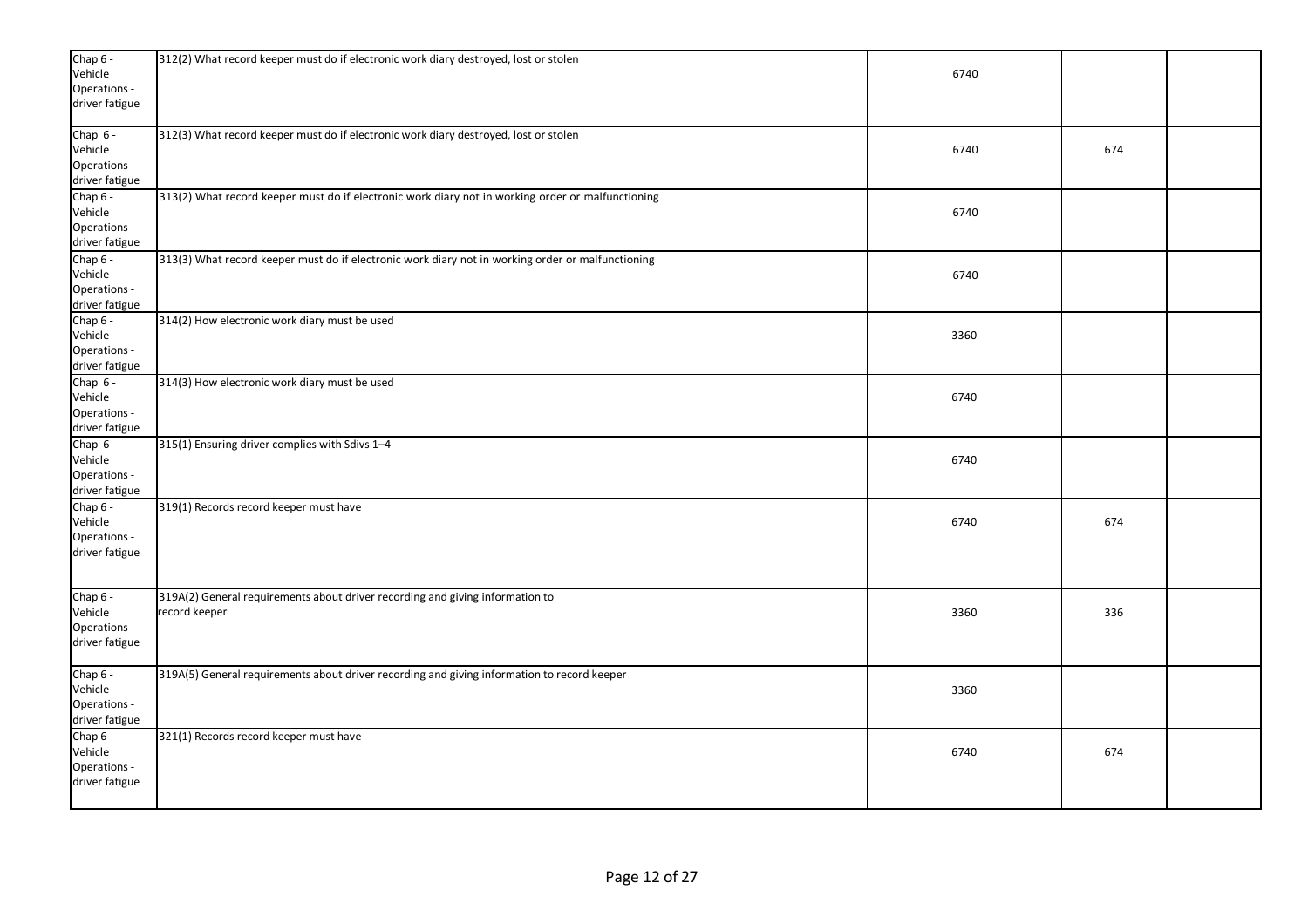| Chap 6 -<br>Vehicle<br>Operations -<br>driver fatigue   | 312(2) What record keeper must do if electronic work diary destroyed, lost or stolen              | 6740 |     |  |
|---------------------------------------------------------|---------------------------------------------------------------------------------------------------|------|-----|--|
| Chap $6 -$<br>Vehicle<br>Operations -<br>driver fatigue | 312(3) What record keeper must do if electronic work diary destroyed, lost or stolen              | 6740 | 674 |  |
| Chap 6 -<br>Vehicle<br>Operations -<br>driver fatigue   | 313(2) What record keeper must do if electronic work diary not in working order or malfunctioning | 6740 |     |  |
| Chap 6 -<br>Vehicle<br>Operations -<br>driver fatigue   | 313(3) What record keeper must do if electronic work diary not in working order or malfunctioning | 6740 |     |  |
| Chap 6 -<br>Vehicle<br>Operations -<br>driver fatigue   | 314(2) How electronic work diary must be used                                                     | 3360 |     |  |
| Chap $6 -$<br>Vehicle<br>Operations -<br>driver fatigue | 314(3) How electronic work diary must be used                                                     | 6740 |     |  |
| Chap $6 -$<br>Vehicle<br>Operations -<br>driver fatigue | 315(1) Ensuring driver complies with Sdivs 1-4                                                    | 6740 |     |  |
| Chap 6 -<br>Vehicle<br>Operations -<br>driver fatigue   | 319(1) Records record keeper must have                                                            | 6740 | 674 |  |
| Chap 6 -<br>Vehicle<br>Operations -<br>driver fatigue   | 319A(2) General requirements about driver recording and giving information to<br>record keeper    | 3360 | 336 |  |
| Chap 6 -<br>Vehicle<br>Operations -<br>driver fatigue   | 319A(5) General requirements about driver recording and giving information to record keeper       | 3360 |     |  |
| Chap 6 -<br>Vehicle<br>Operations -<br>driver fatigue   | 321(1) Records record keeper must have                                                            | 6740 | 674 |  |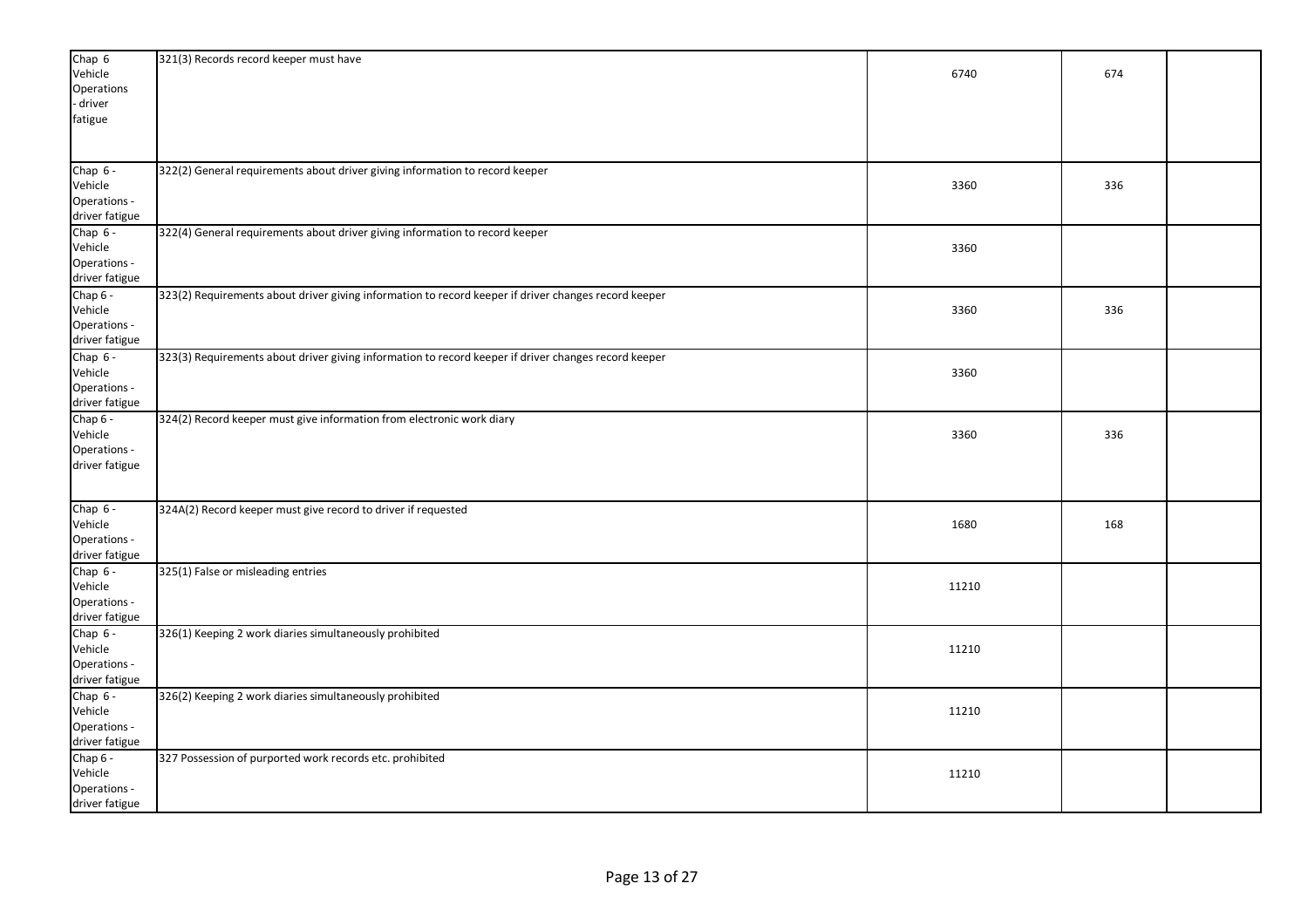| Vehicle<br>6740<br>674<br>Operations<br>driver<br>fatigue<br>322(2) General requirements about driver giving information to record keeper<br>Vehicle<br>3360<br>336<br>Operations -<br>driver fatigue<br>322(4) General requirements about driver giving information to record keeper<br>Chap $6 -$<br>Vehicle<br>3360<br>Operations -<br>driver fatigue<br>Chap 6 -<br>323(2) Requirements about driver giving information to record keeper if driver changes record keeper<br>Vehicle<br>3360<br>336<br>Operations -<br>driver fatigue<br>Chap $6 -$<br>323(3) Requirements about driver giving information to record keeper if driver changes record keeper<br>Vehicle<br>3360<br>driver fatigue<br>Chap 6 -<br>324(2) Record keeper must give information from electronic work diary<br>Vehicle<br>3360<br>336<br>driver fatigue<br>Chap 6 -<br>324A(2) Record keeper must give record to driver if requested<br>Vehicle<br>1680<br>168<br>Operations -<br>driver fatigue<br>Chap $6 -$<br>325(1) False or misleading entries<br>Vehicle<br>11210<br>Operations -<br>driver fatigue<br>Chap $6 -$<br>326(1) Keeping 2 work diaries simultaneously prohibited<br>Vehicle<br>11210<br>Operations -<br>driver fatigue<br>Chap $6 -$<br>326(2) Keeping 2 work diaries simultaneously prohibited<br>Vehicle<br>11210<br>Operations -<br>driver fatigue<br>Chap 6 -<br>327 Possession of purported work records etc. prohibited<br>Vehicle<br>11210<br>Operations - | Chap 6         | 321(3) Records record keeper must have |  |  |
|-------------------------------------------------------------------------------------------------------------------------------------------------------------------------------------------------------------------------------------------------------------------------------------------------------------------------------------------------------------------------------------------------------------------------------------------------------------------------------------------------------------------------------------------------------------------------------------------------------------------------------------------------------------------------------------------------------------------------------------------------------------------------------------------------------------------------------------------------------------------------------------------------------------------------------------------------------------------------------------------------------------------------------------------------------------------------------------------------------------------------------------------------------------------------------------------------------------------------------------------------------------------------------------------------------------------------------------------------------------------------------------------------------------------------------------------------------------------|----------------|----------------------------------------|--|--|
|                                                                                                                                                                                                                                                                                                                                                                                                                                                                                                                                                                                                                                                                                                                                                                                                                                                                                                                                                                                                                                                                                                                                                                                                                                                                                                                                                                                                                                                                   |                |                                        |  |  |
|                                                                                                                                                                                                                                                                                                                                                                                                                                                                                                                                                                                                                                                                                                                                                                                                                                                                                                                                                                                                                                                                                                                                                                                                                                                                                                                                                                                                                                                                   |                |                                        |  |  |
|                                                                                                                                                                                                                                                                                                                                                                                                                                                                                                                                                                                                                                                                                                                                                                                                                                                                                                                                                                                                                                                                                                                                                                                                                                                                                                                                                                                                                                                                   |                |                                        |  |  |
|                                                                                                                                                                                                                                                                                                                                                                                                                                                                                                                                                                                                                                                                                                                                                                                                                                                                                                                                                                                                                                                                                                                                                                                                                                                                                                                                                                                                                                                                   |                |                                        |  |  |
|                                                                                                                                                                                                                                                                                                                                                                                                                                                                                                                                                                                                                                                                                                                                                                                                                                                                                                                                                                                                                                                                                                                                                                                                                                                                                                                                                                                                                                                                   |                |                                        |  |  |
|                                                                                                                                                                                                                                                                                                                                                                                                                                                                                                                                                                                                                                                                                                                                                                                                                                                                                                                                                                                                                                                                                                                                                                                                                                                                                                                                                                                                                                                                   |                |                                        |  |  |
|                                                                                                                                                                                                                                                                                                                                                                                                                                                                                                                                                                                                                                                                                                                                                                                                                                                                                                                                                                                                                                                                                                                                                                                                                                                                                                                                                                                                                                                                   | Chap $6 -$     |                                        |  |  |
|                                                                                                                                                                                                                                                                                                                                                                                                                                                                                                                                                                                                                                                                                                                                                                                                                                                                                                                                                                                                                                                                                                                                                                                                                                                                                                                                                                                                                                                                   |                |                                        |  |  |
|                                                                                                                                                                                                                                                                                                                                                                                                                                                                                                                                                                                                                                                                                                                                                                                                                                                                                                                                                                                                                                                                                                                                                                                                                                                                                                                                                                                                                                                                   |                |                                        |  |  |
|                                                                                                                                                                                                                                                                                                                                                                                                                                                                                                                                                                                                                                                                                                                                                                                                                                                                                                                                                                                                                                                                                                                                                                                                                                                                                                                                                                                                                                                                   |                |                                        |  |  |
|                                                                                                                                                                                                                                                                                                                                                                                                                                                                                                                                                                                                                                                                                                                                                                                                                                                                                                                                                                                                                                                                                                                                                                                                                                                                                                                                                                                                                                                                   |                |                                        |  |  |
|                                                                                                                                                                                                                                                                                                                                                                                                                                                                                                                                                                                                                                                                                                                                                                                                                                                                                                                                                                                                                                                                                                                                                                                                                                                                                                                                                                                                                                                                   |                |                                        |  |  |
|                                                                                                                                                                                                                                                                                                                                                                                                                                                                                                                                                                                                                                                                                                                                                                                                                                                                                                                                                                                                                                                                                                                                                                                                                                                                                                                                                                                                                                                                   |                |                                        |  |  |
|                                                                                                                                                                                                                                                                                                                                                                                                                                                                                                                                                                                                                                                                                                                                                                                                                                                                                                                                                                                                                                                                                                                                                                                                                                                                                                                                                                                                                                                                   |                |                                        |  |  |
|                                                                                                                                                                                                                                                                                                                                                                                                                                                                                                                                                                                                                                                                                                                                                                                                                                                                                                                                                                                                                                                                                                                                                                                                                                                                                                                                                                                                                                                                   |                |                                        |  |  |
|                                                                                                                                                                                                                                                                                                                                                                                                                                                                                                                                                                                                                                                                                                                                                                                                                                                                                                                                                                                                                                                                                                                                                                                                                                                                                                                                                                                                                                                                   |                |                                        |  |  |
|                                                                                                                                                                                                                                                                                                                                                                                                                                                                                                                                                                                                                                                                                                                                                                                                                                                                                                                                                                                                                                                                                                                                                                                                                                                                                                                                                                                                                                                                   |                |                                        |  |  |
|                                                                                                                                                                                                                                                                                                                                                                                                                                                                                                                                                                                                                                                                                                                                                                                                                                                                                                                                                                                                                                                                                                                                                                                                                                                                                                                                                                                                                                                                   |                |                                        |  |  |
|                                                                                                                                                                                                                                                                                                                                                                                                                                                                                                                                                                                                                                                                                                                                                                                                                                                                                                                                                                                                                                                                                                                                                                                                                                                                                                                                                                                                                                                                   |                |                                        |  |  |
|                                                                                                                                                                                                                                                                                                                                                                                                                                                                                                                                                                                                                                                                                                                                                                                                                                                                                                                                                                                                                                                                                                                                                                                                                                                                                                                                                                                                                                                                   |                |                                        |  |  |
|                                                                                                                                                                                                                                                                                                                                                                                                                                                                                                                                                                                                                                                                                                                                                                                                                                                                                                                                                                                                                                                                                                                                                                                                                                                                                                                                                                                                                                                                   | Operations -   |                                        |  |  |
|                                                                                                                                                                                                                                                                                                                                                                                                                                                                                                                                                                                                                                                                                                                                                                                                                                                                                                                                                                                                                                                                                                                                                                                                                                                                                                                                                                                                                                                                   |                |                                        |  |  |
|                                                                                                                                                                                                                                                                                                                                                                                                                                                                                                                                                                                                                                                                                                                                                                                                                                                                                                                                                                                                                                                                                                                                                                                                                                                                                                                                                                                                                                                                   |                |                                        |  |  |
|                                                                                                                                                                                                                                                                                                                                                                                                                                                                                                                                                                                                                                                                                                                                                                                                                                                                                                                                                                                                                                                                                                                                                                                                                                                                                                                                                                                                                                                                   |                |                                        |  |  |
|                                                                                                                                                                                                                                                                                                                                                                                                                                                                                                                                                                                                                                                                                                                                                                                                                                                                                                                                                                                                                                                                                                                                                                                                                                                                                                                                                                                                                                                                   | Operations -   |                                        |  |  |
|                                                                                                                                                                                                                                                                                                                                                                                                                                                                                                                                                                                                                                                                                                                                                                                                                                                                                                                                                                                                                                                                                                                                                                                                                                                                                                                                                                                                                                                                   |                |                                        |  |  |
|                                                                                                                                                                                                                                                                                                                                                                                                                                                                                                                                                                                                                                                                                                                                                                                                                                                                                                                                                                                                                                                                                                                                                                                                                                                                                                                                                                                                                                                                   |                |                                        |  |  |
|                                                                                                                                                                                                                                                                                                                                                                                                                                                                                                                                                                                                                                                                                                                                                                                                                                                                                                                                                                                                                                                                                                                                                                                                                                                                                                                                                                                                                                                                   |                |                                        |  |  |
|                                                                                                                                                                                                                                                                                                                                                                                                                                                                                                                                                                                                                                                                                                                                                                                                                                                                                                                                                                                                                                                                                                                                                                                                                                                                                                                                                                                                                                                                   |                |                                        |  |  |
|                                                                                                                                                                                                                                                                                                                                                                                                                                                                                                                                                                                                                                                                                                                                                                                                                                                                                                                                                                                                                                                                                                                                                                                                                                                                                                                                                                                                                                                                   |                |                                        |  |  |
|                                                                                                                                                                                                                                                                                                                                                                                                                                                                                                                                                                                                                                                                                                                                                                                                                                                                                                                                                                                                                                                                                                                                                                                                                                                                                                                                                                                                                                                                   |                |                                        |  |  |
|                                                                                                                                                                                                                                                                                                                                                                                                                                                                                                                                                                                                                                                                                                                                                                                                                                                                                                                                                                                                                                                                                                                                                                                                                                                                                                                                                                                                                                                                   |                |                                        |  |  |
|                                                                                                                                                                                                                                                                                                                                                                                                                                                                                                                                                                                                                                                                                                                                                                                                                                                                                                                                                                                                                                                                                                                                                                                                                                                                                                                                                                                                                                                                   |                |                                        |  |  |
|                                                                                                                                                                                                                                                                                                                                                                                                                                                                                                                                                                                                                                                                                                                                                                                                                                                                                                                                                                                                                                                                                                                                                                                                                                                                                                                                                                                                                                                                   |                |                                        |  |  |
|                                                                                                                                                                                                                                                                                                                                                                                                                                                                                                                                                                                                                                                                                                                                                                                                                                                                                                                                                                                                                                                                                                                                                                                                                                                                                                                                                                                                                                                                   |                |                                        |  |  |
|                                                                                                                                                                                                                                                                                                                                                                                                                                                                                                                                                                                                                                                                                                                                                                                                                                                                                                                                                                                                                                                                                                                                                                                                                                                                                                                                                                                                                                                                   |                |                                        |  |  |
|                                                                                                                                                                                                                                                                                                                                                                                                                                                                                                                                                                                                                                                                                                                                                                                                                                                                                                                                                                                                                                                                                                                                                                                                                                                                                                                                                                                                                                                                   |                |                                        |  |  |
|                                                                                                                                                                                                                                                                                                                                                                                                                                                                                                                                                                                                                                                                                                                                                                                                                                                                                                                                                                                                                                                                                                                                                                                                                                                                                                                                                                                                                                                                   |                |                                        |  |  |
|                                                                                                                                                                                                                                                                                                                                                                                                                                                                                                                                                                                                                                                                                                                                                                                                                                                                                                                                                                                                                                                                                                                                                                                                                                                                                                                                                                                                                                                                   |                |                                        |  |  |
|                                                                                                                                                                                                                                                                                                                                                                                                                                                                                                                                                                                                                                                                                                                                                                                                                                                                                                                                                                                                                                                                                                                                                                                                                                                                                                                                                                                                                                                                   |                |                                        |  |  |
|                                                                                                                                                                                                                                                                                                                                                                                                                                                                                                                                                                                                                                                                                                                                                                                                                                                                                                                                                                                                                                                                                                                                                                                                                                                                                                                                                                                                                                                                   |                |                                        |  |  |
|                                                                                                                                                                                                                                                                                                                                                                                                                                                                                                                                                                                                                                                                                                                                                                                                                                                                                                                                                                                                                                                                                                                                                                                                                                                                                                                                                                                                                                                                   |                |                                        |  |  |
|                                                                                                                                                                                                                                                                                                                                                                                                                                                                                                                                                                                                                                                                                                                                                                                                                                                                                                                                                                                                                                                                                                                                                                                                                                                                                                                                                                                                                                                                   |                |                                        |  |  |
|                                                                                                                                                                                                                                                                                                                                                                                                                                                                                                                                                                                                                                                                                                                                                                                                                                                                                                                                                                                                                                                                                                                                                                                                                                                                                                                                                                                                                                                                   |                |                                        |  |  |
|                                                                                                                                                                                                                                                                                                                                                                                                                                                                                                                                                                                                                                                                                                                                                                                                                                                                                                                                                                                                                                                                                                                                                                                                                                                                                                                                                                                                                                                                   |                |                                        |  |  |
|                                                                                                                                                                                                                                                                                                                                                                                                                                                                                                                                                                                                                                                                                                                                                                                                                                                                                                                                                                                                                                                                                                                                                                                                                                                                                                                                                                                                                                                                   |                |                                        |  |  |
|                                                                                                                                                                                                                                                                                                                                                                                                                                                                                                                                                                                                                                                                                                                                                                                                                                                                                                                                                                                                                                                                                                                                                                                                                                                                                                                                                                                                                                                                   | driver fatigue |                                        |  |  |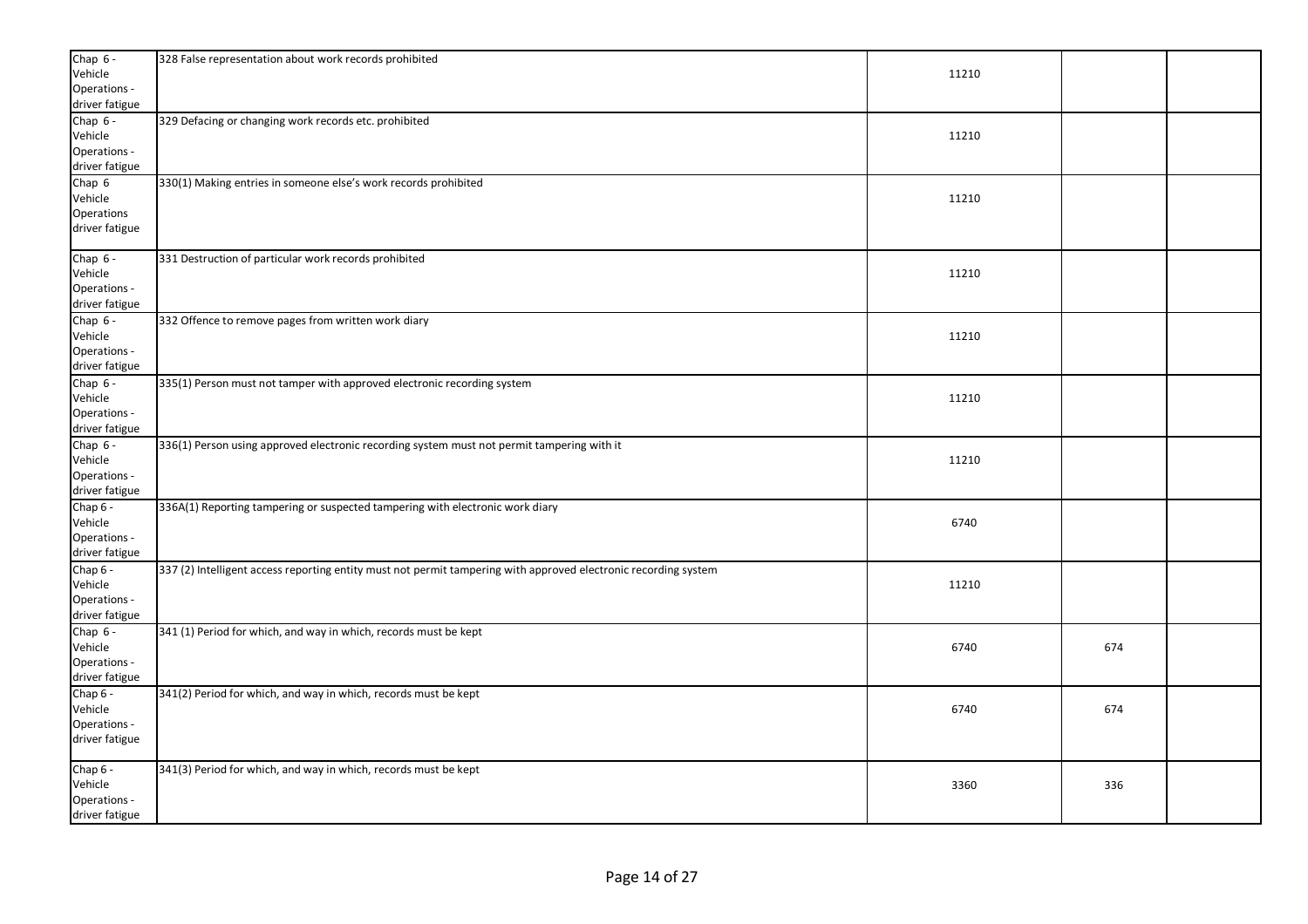| Chap $6 -$                     | 328 False representation about work records prohibited                                                          |       |     |  |
|--------------------------------|-----------------------------------------------------------------------------------------------------------------|-------|-----|--|
| Vehicle                        |                                                                                                                 | 11210 |     |  |
| Operations -<br>driver fatigue |                                                                                                                 |       |     |  |
| Chap $6 -$                     | 329 Defacing or changing work records etc. prohibited                                                           |       |     |  |
| Vehicle                        |                                                                                                                 | 11210 |     |  |
| Operations -                   |                                                                                                                 |       |     |  |
| driver fatigue                 |                                                                                                                 |       |     |  |
| Chap 6                         | 330(1) Making entries in someone else's work records prohibited                                                 |       |     |  |
| Vehicle                        |                                                                                                                 | 11210 |     |  |
| Operations                     |                                                                                                                 |       |     |  |
| driver fatigue                 |                                                                                                                 |       |     |  |
| Chap 6 -                       | 331 Destruction of particular work records prohibited                                                           |       |     |  |
| Vehicle                        |                                                                                                                 | 11210 |     |  |
| Operations -                   |                                                                                                                 |       |     |  |
| driver fatigue                 |                                                                                                                 |       |     |  |
| Chap 6 -                       | 332 Offence to remove pages from written work diary                                                             |       |     |  |
| Vehicle                        |                                                                                                                 | 11210 |     |  |
| Operations -                   |                                                                                                                 |       |     |  |
| driver fatigue                 |                                                                                                                 |       |     |  |
| Chap 6 -<br>Vehicle            | 335(1) Person must not tamper with approved electronic recording system                                         | 11210 |     |  |
| Operations -                   |                                                                                                                 |       |     |  |
| driver fatigue                 |                                                                                                                 |       |     |  |
| Chap 6 -                       | 336(1) Person using approved electronic recording system must not permit tampering with it                      |       |     |  |
| Vehicle                        |                                                                                                                 | 11210 |     |  |
| Operations -                   |                                                                                                                 |       |     |  |
| driver fatigue                 |                                                                                                                 |       |     |  |
| Chap 6 -                       | 336A(1) Reporting tampering or suspected tampering with electronic work diary                                   |       |     |  |
| Vehicle                        |                                                                                                                 | 6740  |     |  |
| Operations -                   |                                                                                                                 |       |     |  |
| driver fatigue                 |                                                                                                                 |       |     |  |
| Chap 6 -                       | 337 (2) Intelligent access reporting entity must not permit tampering with approved electronic recording system |       |     |  |
| Vehicle                        |                                                                                                                 | 11210 |     |  |
| Operations -<br>driver fatigue |                                                                                                                 |       |     |  |
| Chap $6 -$                     | 341 (1) Period for which, and way in which, records must be kept                                                |       |     |  |
| Vehicle                        |                                                                                                                 | 6740  | 674 |  |
| Operations -                   |                                                                                                                 |       |     |  |
| driver fatigue                 |                                                                                                                 |       |     |  |
| Chap 6 -                       | 341(2) Period for which, and way in which, records must be kept                                                 |       |     |  |
| Vehicle                        |                                                                                                                 | 6740  | 674 |  |
| Operations -                   |                                                                                                                 |       |     |  |
| driver fatigue                 |                                                                                                                 |       |     |  |
| Chap 6 -                       | 341(3) Period for which, and way in which, records must be kept                                                 |       |     |  |
| Vehicle                        |                                                                                                                 | 3360  | 336 |  |
| Operations -                   |                                                                                                                 |       |     |  |
| driver fatigue                 |                                                                                                                 |       |     |  |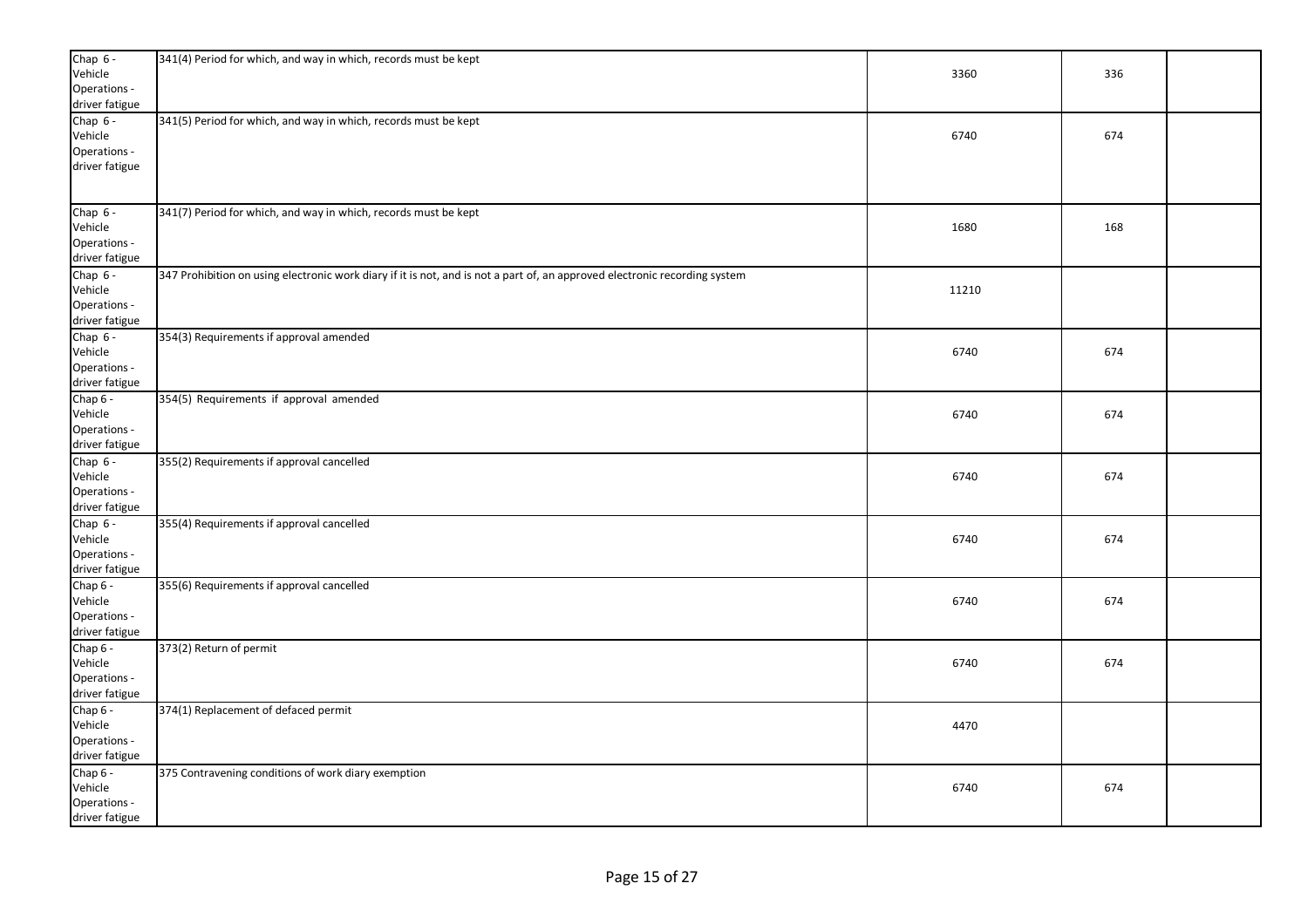| Chap 6 -<br>Vehicle<br>Operations -<br>driver fatigue   | 341(4) Period for which, and way in which, records must be kept                                                            | 3360  | 336 |  |
|---------------------------------------------------------|----------------------------------------------------------------------------------------------------------------------------|-------|-----|--|
| Chap $6 -$<br>Vehicle<br>Operations -<br>driver fatigue | 341(5) Period for which, and way in which, records must be kept                                                            | 6740  | 674 |  |
| Chap $6 -$<br>Vehicle<br>Operations -<br>driver fatigue | 341(7) Period for which, and way in which, records must be kept                                                            | 1680  | 168 |  |
| Chap $6 -$<br>Vehicle<br>Operations -<br>driver fatigue | 347 Prohibition on using electronic work diary if it is not, and is not a part of, an approved electronic recording system | 11210 |     |  |
| Chap $6 -$<br>Vehicle<br>Operations -<br>driver fatigue | 354(3) Requirements if approval amended                                                                                    | 6740  | 674 |  |
| Chap 6 -<br>Vehicle<br>Operations -<br>driver fatigue   | 354(5) Requirements if approval amended                                                                                    | 6740  | 674 |  |
| Chap $6 -$<br>Vehicle<br>Operations -<br>driver fatigue | 355(2) Requirements if approval cancelled                                                                                  | 6740  | 674 |  |
| Chap $6 -$<br>Vehicle<br>Operations -<br>driver fatigue | 355(4) Requirements if approval cancelled                                                                                  | 6740  | 674 |  |
| Chap 6 -<br>Vehicle<br>Operations -<br>driver fatigue   | 355(6) Requirements if approval cancelled                                                                                  | 6740  | 674 |  |
| Chap 6 -<br>Vehicle<br>Operations -<br>driver fatigue   | 373(2) Return of permit                                                                                                    | 6740  | 674 |  |
| Chap 6 -<br>Vehicle<br>Operations -<br>driver fatigue   | 374(1) Replacement of defaced permit                                                                                       | 4470  |     |  |
| Chap 6 -<br>Vehicle<br>Operations -<br>driver fatigue   | 375 Contravening conditions of work diary exemption                                                                        | 6740  | 674 |  |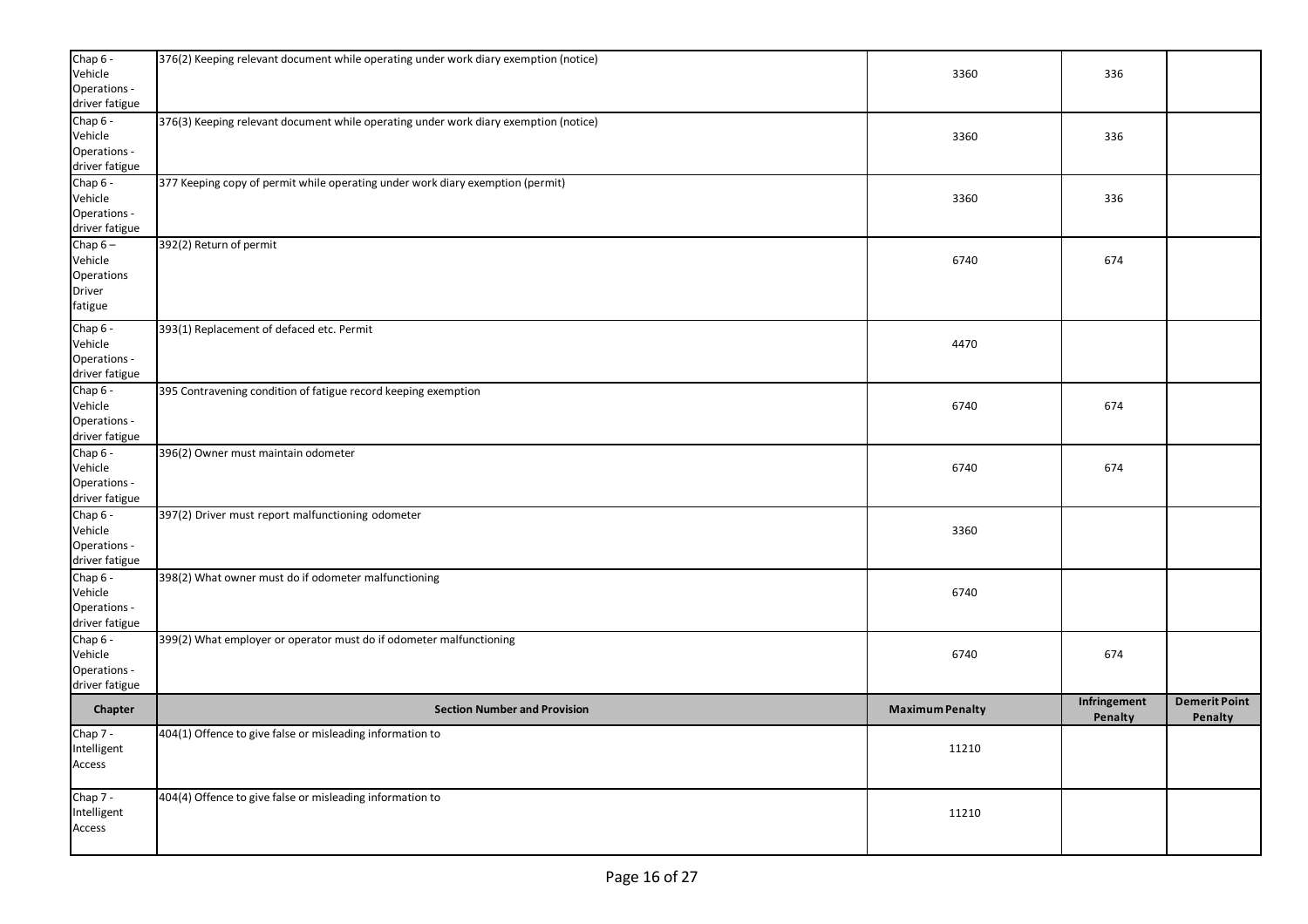| Chap 6 -                       | 376(2) Keeping relevant document while operating under work diary exemption (notice) |                        |              |                      |
|--------------------------------|--------------------------------------------------------------------------------------|------------------------|--------------|----------------------|
| Vehicle<br>Operations -        |                                                                                      | 3360                   | 336          |                      |
| driver fatigue                 |                                                                                      |                        |              |                      |
| Chap 6 -                       | 376(3) Keeping relevant document while operating under work diary exemption (notice) |                        |              |                      |
| Vehicle                        |                                                                                      | 3360                   | 336          |                      |
| Operations -                   |                                                                                      |                        |              |                      |
| driver fatigue                 |                                                                                      |                        |              |                      |
| Chap 6 -<br>Vehicle            | 377 Keeping copy of permit while operating under work diary exemption (permit)       | 3360                   | 336          |                      |
| Operations -                   |                                                                                      |                        |              |                      |
| driver fatigue                 |                                                                                      |                        |              |                      |
| Chap $6-$                      | 392(2) Return of permit                                                              |                        |              |                      |
| Vehicle                        |                                                                                      | 6740                   | 674          |                      |
| Operations                     |                                                                                      |                        |              |                      |
| Driver                         |                                                                                      |                        |              |                      |
| fatigue                        |                                                                                      |                        |              |                      |
| Chap 6 -                       | 393(1) Replacement of defaced etc. Permit                                            |                        |              |                      |
| Vehicle                        |                                                                                      | 4470                   |              |                      |
| Operations -                   |                                                                                      |                        |              |                      |
| driver fatigue                 |                                                                                      |                        |              |                      |
| Chap 6 -<br>Vehicle            | 395 Contravening condition of fatigue record keeping exemption                       | 6740                   | 674          |                      |
| Operations -                   |                                                                                      |                        |              |                      |
| driver fatigue                 |                                                                                      |                        |              |                      |
| Chap 6 -                       | 396(2) Owner must maintain odometer                                                  |                        |              |                      |
| Vehicle                        |                                                                                      | 6740                   | 674          |                      |
| Operations -                   |                                                                                      |                        |              |                      |
| driver fatigue                 |                                                                                      |                        |              |                      |
| Chap 6 -                       | 397(2) Driver must report malfunctioning odometer                                    |                        |              |                      |
| Vehicle<br>Operations -        |                                                                                      | 3360                   |              |                      |
| driver fatigue                 |                                                                                      |                        |              |                      |
| Chap 6 -                       | 398(2) What owner must do if odometer malfunctioning                                 |                        |              |                      |
| Vehicle                        |                                                                                      | 6740                   |              |                      |
| Operations -                   |                                                                                      |                        |              |                      |
| driver fatigue                 |                                                                                      |                        |              |                      |
| Chap $6 -$                     | 399(2) What employer or operator must do if odometer malfunctioning                  |                        |              |                      |
| Vehicle                        |                                                                                      | 6740                   | 674          |                      |
| Operations -<br>driver fatigue |                                                                                      |                        |              |                      |
|                                |                                                                                      |                        | Infringement | <b>Demerit Point</b> |
| Chapter                        | <b>Section Number and Provision</b>                                                  | <b>Maximum Penalty</b> | Penalty      | Penalty              |
| Chap 7 -                       | 404(1) Offence to give false or misleading information to                            |                        |              |                      |
| Intelligent                    |                                                                                      | 11210                  |              |                      |
| Access                         |                                                                                      |                        |              |                      |
|                                |                                                                                      |                        |              |                      |
| Chap 7 -                       | 404(4) Offence to give false or misleading information to                            |                        |              |                      |
| Intelligent                    |                                                                                      | 11210                  |              |                      |
| Access                         |                                                                                      |                        |              |                      |
|                                |                                                                                      |                        |              |                      |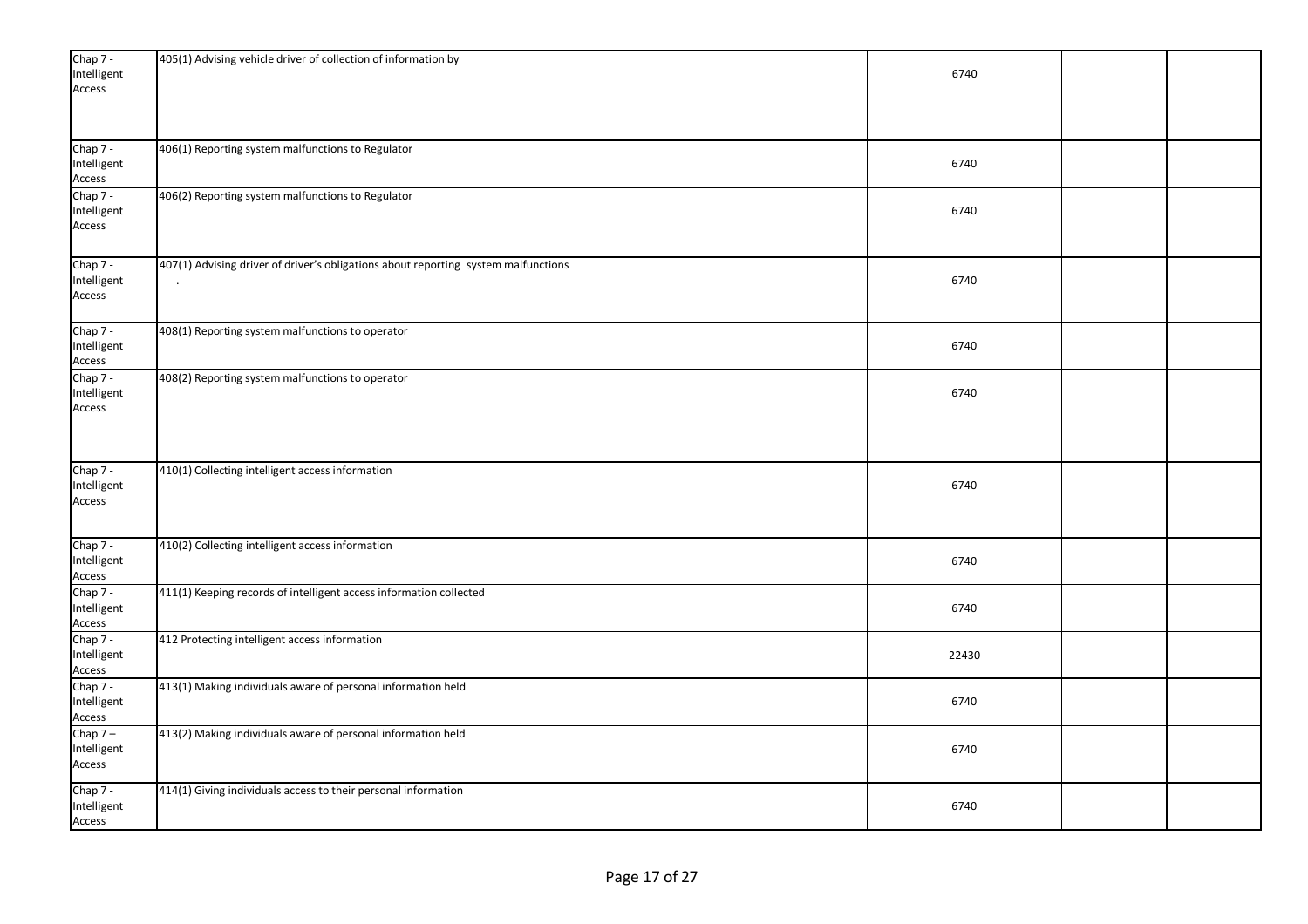| Chap 7 -<br>Intelligent | 405(1) Advising vehicle driver of collection of information by                     | 6740  |  |
|-------------------------|------------------------------------------------------------------------------------|-------|--|
| Access                  |                                                                                    |       |  |
|                         |                                                                                    |       |  |
|                         |                                                                                    |       |  |
| Chap 7 -<br>Intelligent | 406(1) Reporting system malfunctions to Regulator                                  | 6740  |  |
| Access                  |                                                                                    |       |  |
| Chap 7 -<br>Intelligent | 406(2) Reporting system malfunctions to Regulator                                  | 6740  |  |
| Access                  |                                                                                    |       |  |
|                         |                                                                                    |       |  |
| Chap 7 -                | 407(1) Advising driver of driver's obligations about reporting system malfunctions |       |  |
| Intelligent             |                                                                                    | 6740  |  |
| Access                  |                                                                                    |       |  |
| Chap 7 -                | 408(1) Reporting system malfunctions to operator                                   |       |  |
| Intelligent<br>Access   |                                                                                    | 6740  |  |
| Chap 7 -                | 408(2) Reporting system malfunctions to operator                                   |       |  |
| Intelligent             |                                                                                    | 6740  |  |
| Access                  |                                                                                    |       |  |
|                         |                                                                                    |       |  |
|                         |                                                                                    |       |  |
| Chap 7 -<br>Intelligent | 410(1) Collecting intelligent access information                                   | 6740  |  |
| Access                  |                                                                                    |       |  |
|                         |                                                                                    |       |  |
| Chap 7 -                | 410(2) Collecting intelligent access information                                   |       |  |
| Intelligent             |                                                                                    | 6740  |  |
| Access<br>Chap 7 -      | 411(1) Keeping records of intelligent access information collected                 |       |  |
| Intelligent             |                                                                                    | 6740  |  |
| Access                  |                                                                                    |       |  |
| Chap 7 -<br>Intelligent | 412 Protecting intelligent access information                                      | 22430 |  |
| Access                  |                                                                                    |       |  |
| Chap 7 -                | 413(1) Making individuals aware of personal information held                       |       |  |
| Intelligent             |                                                                                    | 6740  |  |
| Access<br>Chap $7-$     | 413(2) Making individuals aware of personal information held                       |       |  |
| Intelligent             |                                                                                    | 6740  |  |
| Access                  |                                                                                    |       |  |
| Chap 7 -                | 414(1) Giving individuals access to their personal information                     |       |  |
| Intelligent<br>Access   |                                                                                    | 6740  |  |
|                         |                                                                                    |       |  |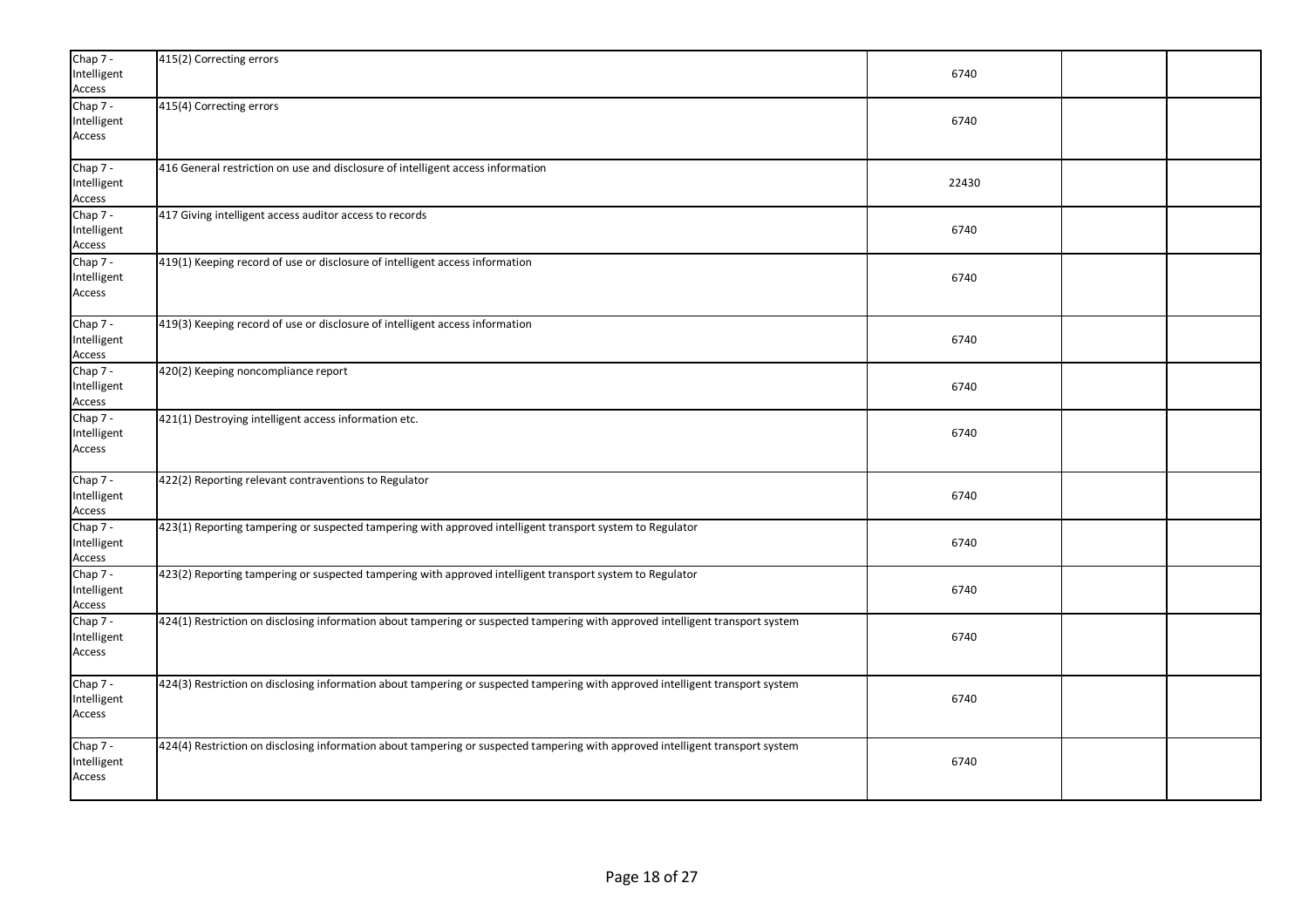| Chap 7 -<br>Intelligent<br>Access | 415(2) Correcting errors                                                                                                       | 6740  |  |
|-----------------------------------|--------------------------------------------------------------------------------------------------------------------------------|-------|--|
| Chap 7 -<br>Intelligent<br>Access | 415(4) Correcting errors                                                                                                       | 6740  |  |
| Chap 7 -<br>Intelligent<br>Access | 416 General restriction on use and disclosure of intelligent access information                                                | 22430 |  |
| Chap 7 -<br>Intelligent<br>Access | 417 Giving intelligent access auditor access to records                                                                        | 6740  |  |
| Chap 7 -<br>Intelligent<br>Access | 419(1) Keeping record of use or disclosure of intelligent access information                                                   | 6740  |  |
| Chap 7 -<br>Intelligent<br>Access | 419(3) Keeping record of use or disclosure of intelligent access information                                                   | 6740  |  |
| Chap 7 -<br>Intelligent<br>Access | 420(2) Keeping noncompliance report                                                                                            | 6740  |  |
| Chap 7 -<br>Intelligent<br>Access | 421(1) Destroying intelligent access information etc.                                                                          | 6740  |  |
| Chap 7 -<br>Intelligent<br>Access | 422(2) Reporting relevant contraventions to Regulator                                                                          | 6740  |  |
| Chap 7 -<br>Intelligent<br>Access | 423(1) Reporting tampering or suspected tampering with approved intelligent transport system to Regulator                      | 6740  |  |
| Chap 7 -<br>Intelligent<br>Access | 423(2) Reporting tampering or suspected tampering with approved intelligent transport system to Regulator                      | 6740  |  |
| Chap 7 -<br>Intelligent<br>Access | 424(1) Restriction on disclosing information about tampering or suspected tampering with approved intelligent transport system | 6740  |  |
| Chap 7 -<br>Intelligent<br>Access | 424(3) Restriction on disclosing information about tampering or suspected tampering with approved intelligent transport system | 6740  |  |
| Chap 7 -<br>Intelligent<br>Access | 424(4) Restriction on disclosing information about tampering or suspected tampering with approved intelligent transport system | 6740  |  |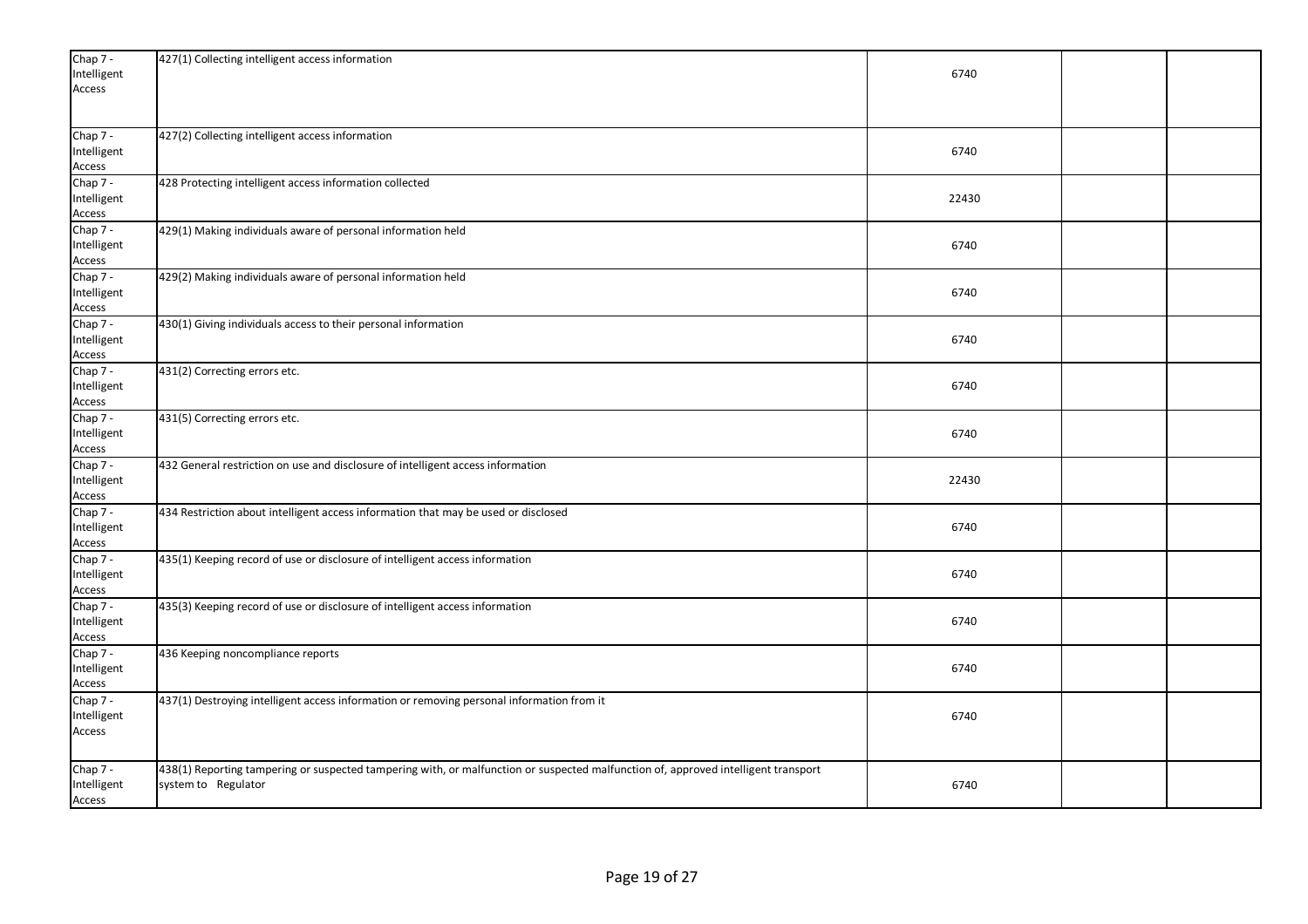| Chap 7 -<br>Intelligent<br>Access   | 427(1) Collecting intelligent access information                                                                                                          | 6740  |  |
|-------------------------------------|-----------------------------------------------------------------------------------------------------------------------------------------------------------|-------|--|
| Chap 7 -<br>Intelligent<br>Access   | 427(2) Collecting intelligent access information                                                                                                          | 6740  |  |
| Chap 7 -<br>Intelligent<br>Access   | 428 Protecting intelligent access information collected                                                                                                   | 22430 |  |
| Chap 7 -<br>Intelligent<br>Access   | 429(1) Making individuals aware of personal information held                                                                                              | 6740  |  |
| Chap 7 -<br>Intelligent<br>Access   | 429(2) Making individuals aware of personal information held                                                                                              | 6740  |  |
| Chap 7 -<br>Intelligent<br>Access   | 430(1) Giving individuals access to their personal information                                                                                            | 6740  |  |
| Chap 7 -<br>Intelligent<br>Access   | 431(2) Correcting errors etc.                                                                                                                             | 6740  |  |
| Chap 7 -<br>Intelligent<br>Access   | 431(5) Correcting errors etc.                                                                                                                             | 6740  |  |
| Chap $7 -$<br>Intelligent<br>Access | 432 General restriction on use and disclosure of intelligent access information                                                                           | 22430 |  |
| Chap 7 -<br>Intelligent<br>Access   | 434 Restriction about intelligent access information that may be used or disclosed                                                                        | 6740  |  |
| Chap 7 -<br>Intelligent<br>Access   | 435(1) Keeping record of use or disclosure of intelligent access information                                                                              | 6740  |  |
| Chap 7 -<br>Intelligent<br>Access   | 435(3) Keeping record of use or disclosure of intelligent access information                                                                              | 6740  |  |
| Chap 7 -<br>Intelligent<br>Access   | 436 Keeping noncompliance reports                                                                                                                         | 6740  |  |
| Chap 7 -<br>Intelligent<br>Access   | 437(1) Destroying intelligent access information or removing personal information from it                                                                 | 6740  |  |
| Chap 7 -<br>Intelligent<br>Access   | 438(1) Reporting tampering or suspected tampering with, or malfunction or suspected malfunction of, approved intelligent transport<br>system to Regulator | 6740  |  |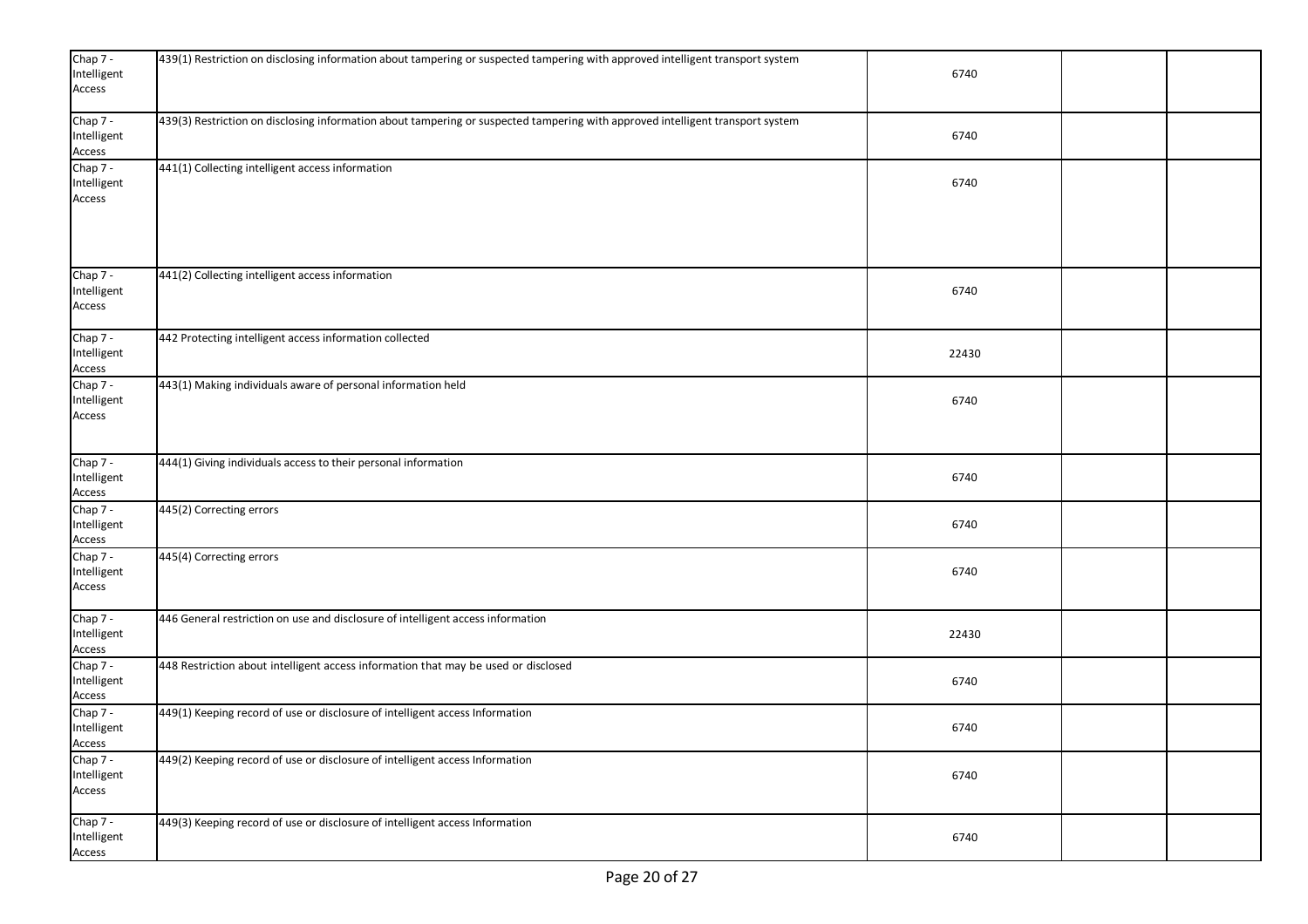| Chap $7 -$<br>Intelligent<br>Access | 439(1) Restriction on disclosing information about tampering or suspected tampering with approved intelligent transport system | 6740  |  |
|-------------------------------------|--------------------------------------------------------------------------------------------------------------------------------|-------|--|
| Chap 7 -<br>Intelligent<br>Access   | 439(3) Restriction on disclosing information about tampering or suspected tampering with approved intelligent transport system | 6740  |  |
| Chap 7 -<br>Intelligent<br>Access   | 441(1) Collecting intelligent access information                                                                               | 6740  |  |
| Chap 7 -<br>Intelligent<br>Access   | 441(2) Collecting intelligent access information                                                                               | 6740  |  |
| Chap 7 -<br>Intelligent<br>Access   | 442 Protecting intelligent access information collected                                                                        | 22430 |  |
| Chap 7 -<br>Intelligent<br>Access   | 443(1) Making individuals aware of personal information held                                                                   | 6740  |  |
| Chap 7 -<br>Intelligent<br>Access   | 444(1) Giving individuals access to their personal information                                                                 | 6740  |  |
| Chap 7 -<br>Intelligent<br>Access   | 445(2) Correcting errors                                                                                                       | 6740  |  |
| Chap 7 -<br>Intelligent<br>Access   | 445(4) Correcting errors                                                                                                       | 6740  |  |
| Chap 7 -<br>Intelligent<br>Access   | 446 General restriction on use and disclosure of intelligent access information                                                | 22430 |  |
| Chap 7 -<br>Intelligent<br>Access   | 448 Restriction about intelligent access information that may be used or disclosed                                             | 6740  |  |
| Chap 7 -<br>Intelligent<br>Access   | 449(1) Keeping record of use or disclosure of intelligent access Information                                                   | 6740  |  |
| Chap 7 -<br>Intelligent<br>Access   | 449(2) Keeping record of use or disclosure of intelligent access Information                                                   | 6740  |  |
| Chap 7 -<br>Intelligent<br>Access   | 449(3) Keeping record of use or disclosure of intelligent access Information                                                   | 6740  |  |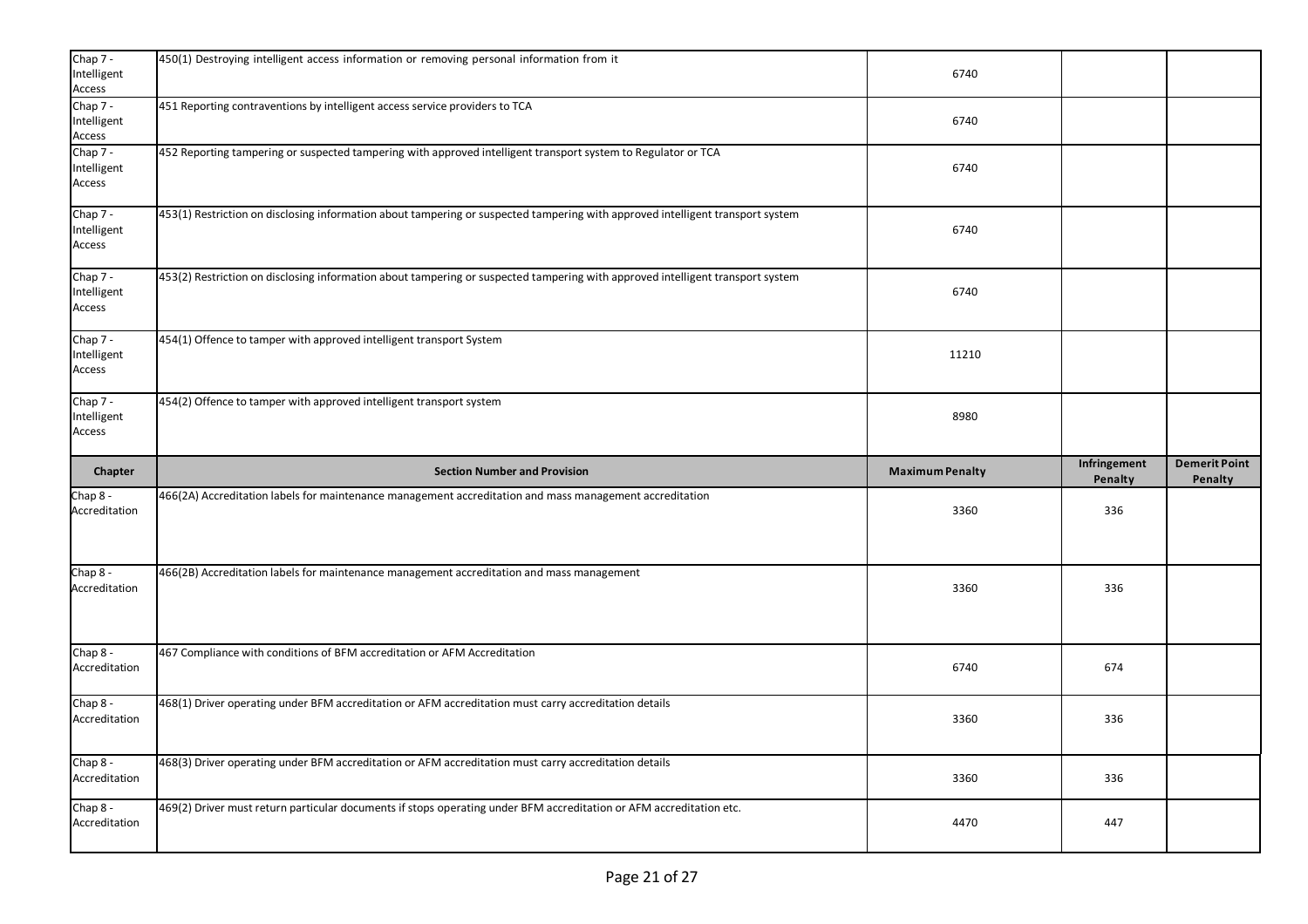| Chap 7 -<br>Intelligent<br>Access       | 450(1) Destroying intelligent access information or removing personal information from it                                      | 6740                   |                         |                                 |
|-----------------------------------------|--------------------------------------------------------------------------------------------------------------------------------|------------------------|-------------------------|---------------------------------|
| Chap 7 -<br>Intelligent<br>$\sf Access$ | 451 Reporting contraventions by intelligent access service providers to TCA                                                    | 6740                   |                         |                                 |
| Chap 7 -<br>Intelligent<br>Access       | 452 Reporting tampering or suspected tampering with approved intelligent transport system to Regulator or TCA                  | 6740                   |                         |                                 |
| Chap 7 -<br>Intelligent<br>Access       | 453(1) Restriction on disclosing information about tampering or suspected tampering with approved intelligent transport system | 6740                   |                         |                                 |
| Chap 7 -<br>Intelligent<br>Access       | 453(2) Restriction on disclosing information about tampering or suspected tampering with approved intelligent transport system | 6740                   |                         |                                 |
| Chap 7 -<br>Intelligent<br>Access       | 454(1) Offence to tamper with approved intelligent transport System                                                            | 11210                  |                         |                                 |
| Chap 7 -<br>Intelligent<br>Access       | 454(2) Offence to tamper with approved intelligent transport system                                                            | 8980                   |                         |                                 |
|                                         |                                                                                                                                |                        |                         |                                 |
| Chapter                                 | <b>Section Number and Provision</b>                                                                                            | <b>Maximum Penalty</b> | Infringement<br>Penalty | <b>Demerit Point</b><br>Penalty |
| Chap 8 -<br>Accreditation               | 466(2A) Accreditation labels for maintenance management accreditation and mass management accreditation                        | 3360                   | 336                     |                                 |
| Chap 8 -<br>Accreditation               | 466(2B) Accreditation labels for maintenance management accreditation and mass management                                      | 3360                   | 336                     |                                 |
| Chap 8 -<br>Accreditation               | 467 Compliance with conditions of BFM accreditation or AFM Accreditation                                                       | 6740                   | 674                     |                                 |
| Chap 8 -<br>Accreditation               | 468(1) Driver operating under BFM accreditation or AFM accreditation must carry accreditation details                          | 3360                   | 336                     |                                 |
| Chap 8 -<br>Accreditation               | 468(3) Driver operating under BFM accreditation or AFM accreditation must carry accreditation details                          | 3360                   | 336                     |                                 |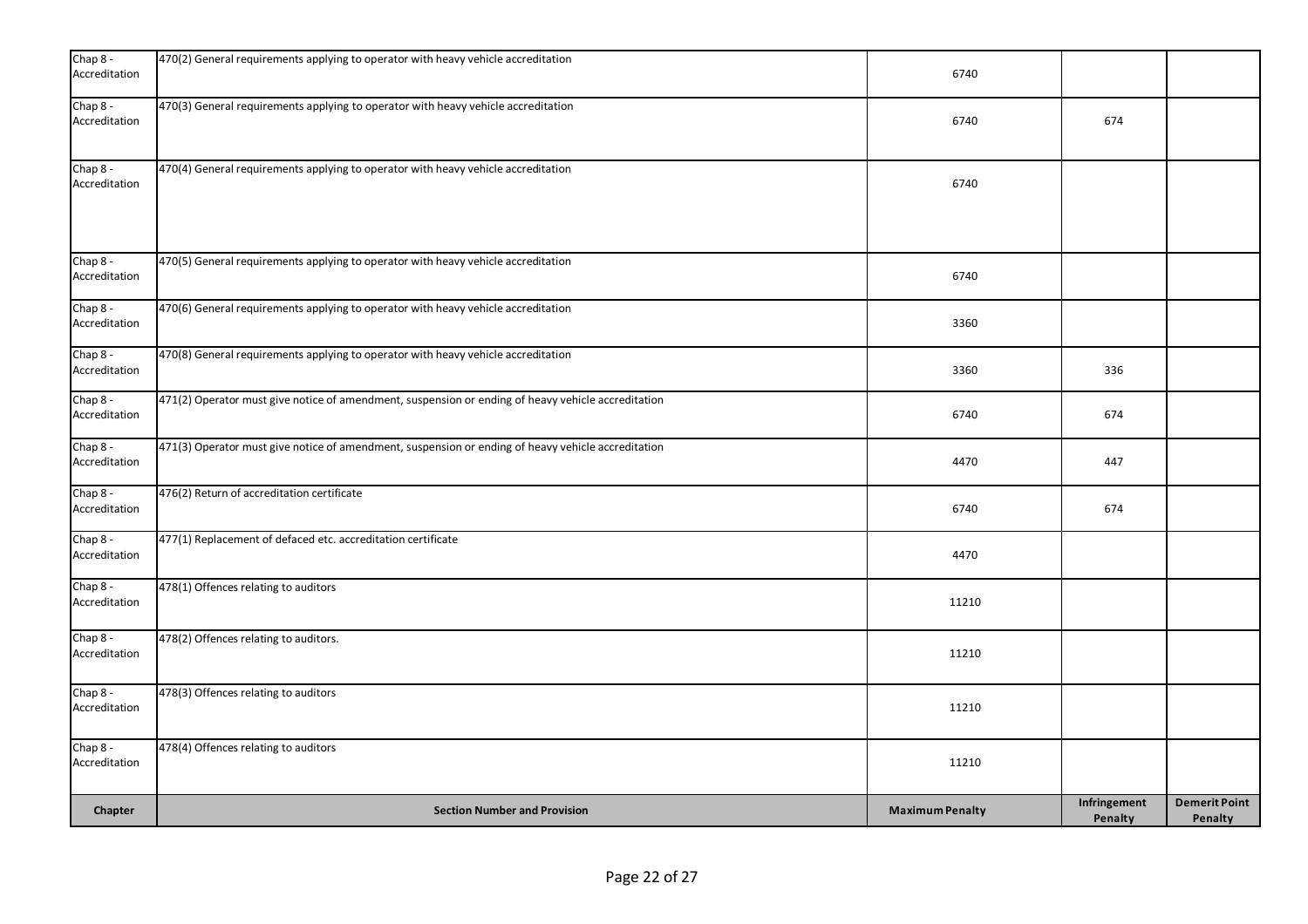| Chap 8 -<br>Accreditation   | 470(2) General requirements applying to operator with heavy vehicle accreditation                  | 6740                   |                         |                                 |
|-----------------------------|----------------------------------------------------------------------------------------------------|------------------------|-------------------------|---------------------------------|
| Chap 8 -<br>Accreditation   | 470(3) General requirements applying to operator with heavy vehicle accreditation                  | 6740                   | 674                     |                                 |
| Chap 8 -<br>Accreditation   | 470(4) General requirements applying to operator with heavy vehicle accreditation                  | 6740                   |                         |                                 |
| Chap 8 -<br>Accreditation   | 470(5) General requirements applying to operator with heavy vehicle accreditation                  | 6740                   |                         |                                 |
| Chap 8 -<br>Accreditation   | 470(6) General requirements applying to operator with heavy vehicle accreditation                  | 3360                   |                         |                                 |
| Chap 8 -<br>Accreditation   | 470(8) General requirements applying to operator with heavy vehicle accreditation                  | 3360                   | 336                     |                                 |
| Chap 8 -<br>Accreditation   | 471(2) Operator must give notice of amendment, suspension or ending of heavy vehicle accreditation | 6740                   | 674                     |                                 |
| Chap 8 -<br>Accreditation   | 471(3) Operator must give notice of amendment, suspension or ending of heavy vehicle accreditation | 4470                   | 447                     |                                 |
| Chap 8 -<br>Accreditation   | 476(2) Return of accreditation certificate                                                         | 6740                   | 674                     |                                 |
| $Chap 8 -$<br>Accreditation | 477(1) Replacement of defaced etc. accreditation certificate                                       | 4470                   |                         |                                 |
| Chap 8 -<br>Accreditation   | 478(1) Offences relating to auditors                                                               | 11210                  |                         |                                 |
| Chap 8 -<br>Accreditation   | 478(2) Offences relating to auditors.                                                              | 11210                  |                         |                                 |
| Chap $8 -$<br>Accreditation | 478(3) Offences relating to auditors                                                               | 11210                  |                         |                                 |
| Chap 8 -<br>Accreditation   | 478(4) Offences relating to auditors                                                               | 11210                  |                         |                                 |
| Chapter                     | <b>Section Number and Provision</b>                                                                | <b>Maximum Penalty</b> | Infringement<br>Penalty | <b>Demerit Point</b><br>Penalty |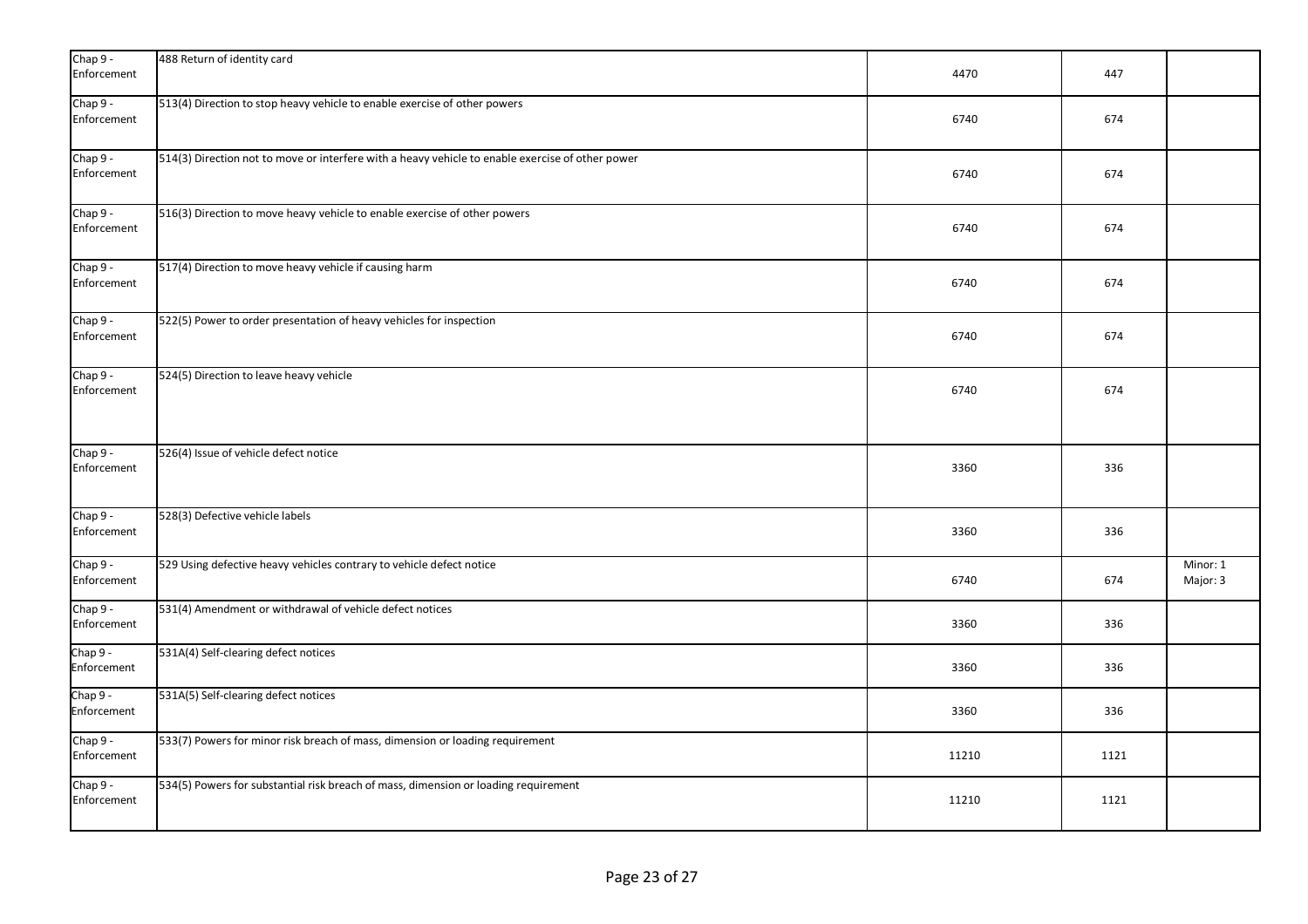| $Chap 9 -$<br>Enforcement | 488 Return of identity card                                                                      | 4470  | 447  |                      |
|---------------------------|--------------------------------------------------------------------------------------------------|-------|------|----------------------|
| Chap 9 -<br>Enforcement   | 513(4) Direction to stop heavy vehicle to enable exercise of other powers                        | 6740  | 674  |                      |
| Chap 9 -<br>Enforcement   | 514(3) Direction not to move or interfere with a heavy vehicle to enable exercise of other power | 6740  | 674  |                      |
| Chap 9 -<br>Enforcement   | 516(3) Direction to move heavy vehicle to enable exercise of other powers                        | 6740  | 674  |                      |
| Chap 9 -<br>Enforcement   | 517(4) Direction to move heavy vehicle if causing harm                                           | 6740  | 674  |                      |
| Chap 9 -<br>Enforcement   | 522(5) Power to order presentation of heavy vehicles for inspection                              | 6740  | 674  |                      |
| Chap 9 -<br>Enforcement   | 524(5) Direction to leave heavy vehicle                                                          | 6740  | 674  |                      |
| Chap 9 -<br>Enforcement   | 526(4) Issue of vehicle defect notice                                                            | 3360  | 336  |                      |
| Chap 9 -<br>Enforcement   | 528(3) Defective vehicle labels                                                                  | 3360  | 336  |                      |
| Chap 9 -<br>Enforcement   | 529 Using defective heavy vehicles contrary to vehicle defect notice                             | 6740  | 674  | Minor: 1<br>Major: 3 |
| Chap 9 -<br>Enforcement   | 531(4) Amendment or withdrawal of vehicle defect notices                                         | 3360  | 336  |                      |
| Chap 9 -<br>Enforcement   | 531A(4) Self-clearing defect notices                                                             | 3360  | 336  |                      |
| Chap $9 -$<br>Enforcement | 531A(5) Self-clearing defect notices                                                             | 3360  | 336  |                      |
| Chap 9 -<br>Enforcement   | 533(7) Powers for minor risk breach of mass, dimension or loading requirement                    | 11210 | 1121 |                      |
| Chap 9 -<br>Enforcement   | 534(5) Powers for substantial risk breach of mass, dimension or loading requirement              | 11210 | 1121 |                      |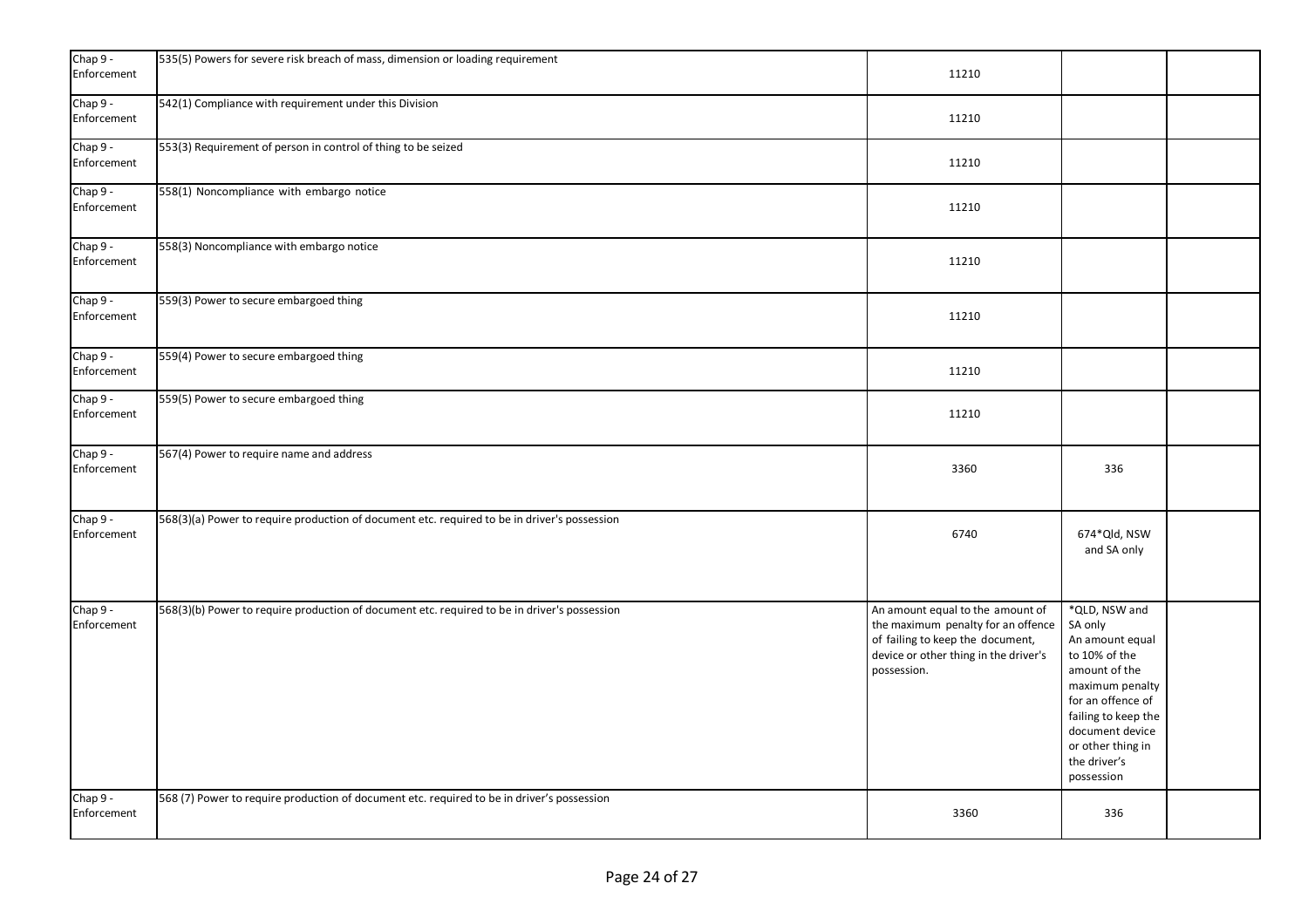| Chap 9 -<br>Enforcement | 535(5) Powers for severe risk breach of mass, dimension or loading requirement               | 11210                                                                                                                                                              |                                                                                                                                                                                                                    |  |
|-------------------------|----------------------------------------------------------------------------------------------|--------------------------------------------------------------------------------------------------------------------------------------------------------------------|--------------------------------------------------------------------------------------------------------------------------------------------------------------------------------------------------------------------|--|
| Chap 9 -<br>Enforcement | 542(1) Compliance with requirement under this Division                                       | 11210                                                                                                                                                              |                                                                                                                                                                                                                    |  |
| Chap 9 -<br>Enforcement | 553(3) Requirement of person in control of thing to be seized                                | 11210                                                                                                                                                              |                                                                                                                                                                                                                    |  |
| Chap 9 -<br>Enforcement | 558(1) Noncompliance with embargo notice                                                     | 11210                                                                                                                                                              |                                                                                                                                                                                                                    |  |
| Chap 9 -<br>Enforcement | 558(3) Noncompliance with embargo notice                                                     | 11210                                                                                                                                                              |                                                                                                                                                                                                                    |  |
| Chap 9 -<br>Enforcement | 559(3) Power to secure embargoed thing                                                       | 11210                                                                                                                                                              |                                                                                                                                                                                                                    |  |
| Chap 9 -<br>Enforcement | 559(4) Power to secure embargoed thing                                                       | 11210                                                                                                                                                              |                                                                                                                                                                                                                    |  |
| Chap 9 -<br>Enforcement | 559(5) Power to secure embargoed thing                                                       | 11210                                                                                                                                                              |                                                                                                                                                                                                                    |  |
| Chap 9 -<br>Enforcement | 567(4) Power to require name and address                                                     | 3360                                                                                                                                                               | 336                                                                                                                                                                                                                |  |
| Chap 9 -<br>Enforcement | 568(3)(a) Power to require production of document etc. required to be in driver's possession | 6740                                                                                                                                                               | 674*Qld, NSW<br>and SA only                                                                                                                                                                                        |  |
| Chap 9 -<br>Enforcement | 568(3)(b) Power to require production of document etc. required to be in driver's possession | An amount equal to the amount of<br>the maximum penalty for an offence<br>of failing to keep the document,<br>device or other thing in the driver's<br>possession. | *QLD, NSW and<br>SA only<br>An amount equal<br>to 10% of the<br>amount of the<br>maximum penalty<br>for an offence of<br>failing to keep the<br>document device<br>or other thing in<br>the driver's<br>possession |  |
| Chap 9 -<br>Enforcement | 568 (7) Power to require production of document etc. required to be in driver's possession   | 3360                                                                                                                                                               | 336                                                                                                                                                                                                                |  |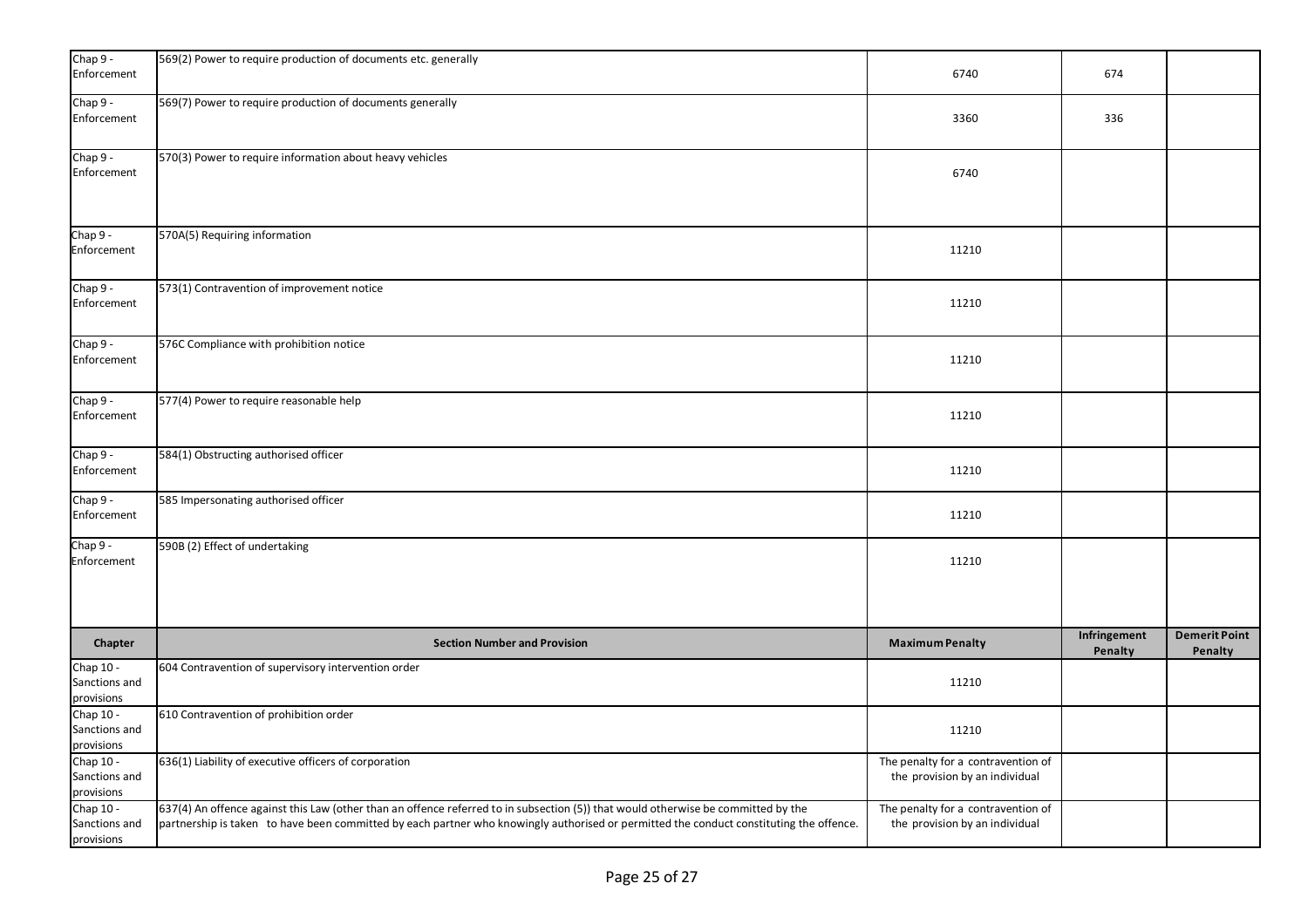| Chap 9 -<br>Enforcement                  | 569(2) Power to require production of documents etc. generally                                                                                                                                                                                                               | 6740                                                                 | 674                     |                                 |
|------------------------------------------|------------------------------------------------------------------------------------------------------------------------------------------------------------------------------------------------------------------------------------------------------------------------------|----------------------------------------------------------------------|-------------------------|---------------------------------|
| Chap 9 -<br>Enforcement                  | 569(7) Power to require production of documents generally                                                                                                                                                                                                                    | 3360                                                                 | 336                     |                                 |
| Chap 9 -<br>Enforcement                  | 570(3) Power to require information about heavy vehicles                                                                                                                                                                                                                     | 6740                                                                 |                         |                                 |
| Chap 9 -<br>Enforcement                  | 570A(5) Requiring information                                                                                                                                                                                                                                                | 11210                                                                |                         |                                 |
| Chap 9 -<br>Enforcement                  | 573(1) Contravention of improvement notice                                                                                                                                                                                                                                   | 11210                                                                |                         |                                 |
| Chap 9 -<br>Enforcement                  | 576C Compliance with prohibition notice                                                                                                                                                                                                                                      | 11210                                                                |                         |                                 |
| Chap 9 -<br>Enforcement                  | 577(4) Power to require reasonable help                                                                                                                                                                                                                                      | 11210                                                                |                         |                                 |
| Chap 9 -<br>Enforcement                  | 584(1) Obstructing authorised officer                                                                                                                                                                                                                                        | 11210                                                                |                         |                                 |
| Chap 9 -<br>Enforcement                  | 585 Impersonating authorised officer                                                                                                                                                                                                                                         | 11210                                                                |                         |                                 |
| Chap 9 -<br>Enforcement                  | 590B (2) Effect of undertaking                                                                                                                                                                                                                                               | 11210                                                                |                         |                                 |
| Chapter                                  | <b>Section Number and Provision</b>                                                                                                                                                                                                                                          | <b>Maximum Penalty</b>                                               | Infringement<br>Penalty | <b>Demerit Point</b><br>Penalty |
| Chap 10 -<br>Sanctions and<br>provisions | 604 Contravention of supervisory intervention order                                                                                                                                                                                                                          | 11210                                                                |                         |                                 |
| Chap 10 -<br>Sanctions and<br>provisions | 610 Contravention of prohibition order                                                                                                                                                                                                                                       | 11210                                                                |                         |                                 |
| Chap 10 -<br>Sanctions and<br>provisions | 636(1) Liability of executive officers of corporation                                                                                                                                                                                                                        | The penalty for a contravention of<br>the provision by an individual |                         |                                 |
| Chap 10 -<br>Sanctions and<br>provisions | 637(4) An offence against this Law (other than an offence referred to in subsection (5)) that would otherwise be committed by the<br>partnership is taken to have been committed by each partner who knowingly authorised or permitted the conduct constituting the offence. | The penalty for a contravention of<br>the provision by an individual |                         |                                 |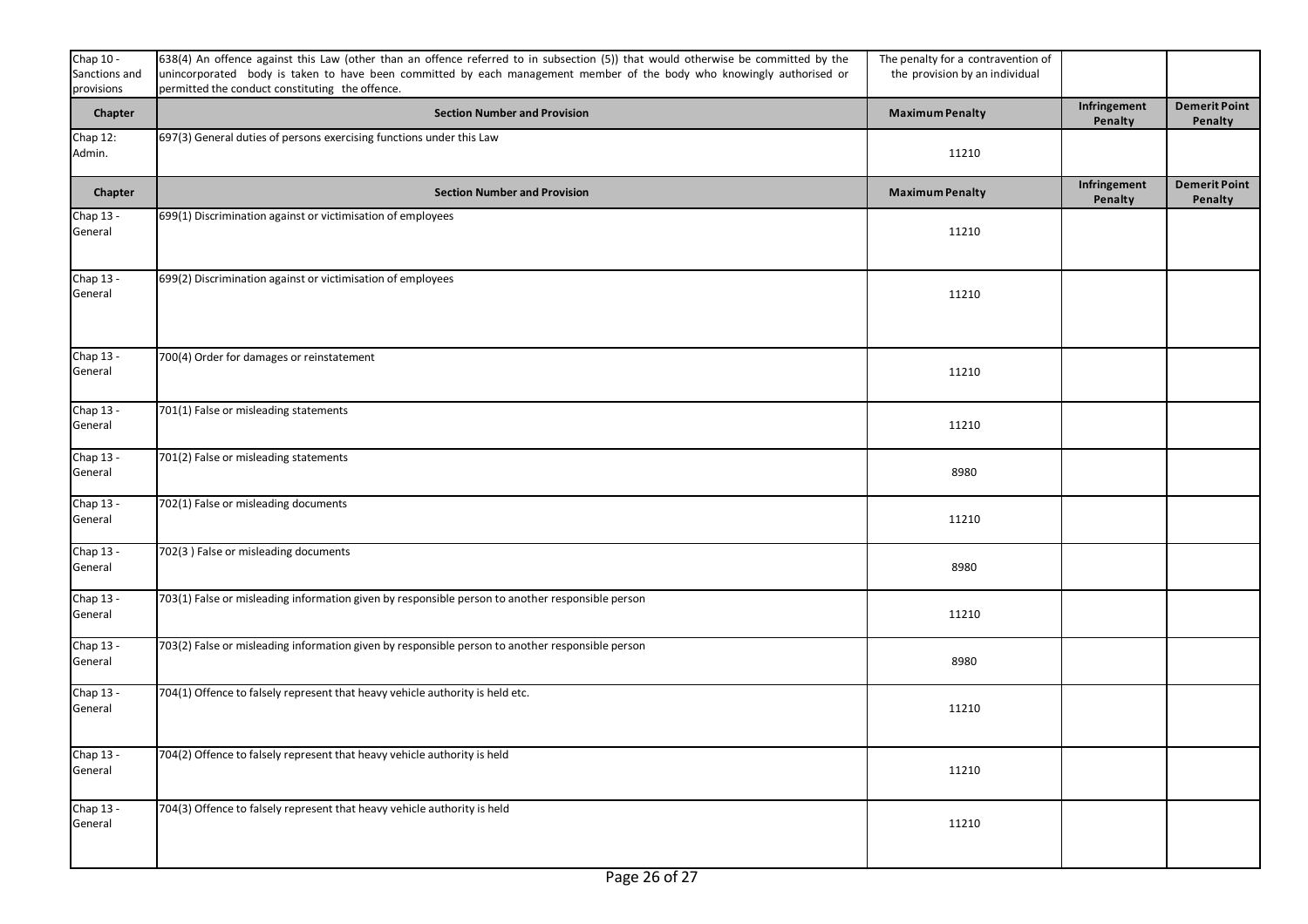| Chap 10 -<br>Sanctions and<br>provisions | 638(4) An offence against this Law (other than an offence referred to in subsection (5)) that would otherwise be committed by the<br>unincorporated body is taken to have been committed by each management member of the body who knowingly authorised or<br>permitted the conduct constituting the offence. | The penalty for a contravention of<br>the provision by an individual |                         |                                 |
|------------------------------------------|---------------------------------------------------------------------------------------------------------------------------------------------------------------------------------------------------------------------------------------------------------------------------------------------------------------|----------------------------------------------------------------------|-------------------------|---------------------------------|
| Chapter                                  | <b>Section Number and Provision</b>                                                                                                                                                                                                                                                                           | <b>Maximum Penalty</b>                                               | Infringement<br>Penalty | <b>Demerit Point</b><br>Penalty |
| Chap 12:<br>Admin.                       | 697(3) General duties of persons exercising functions under this Law                                                                                                                                                                                                                                          | 11210                                                                |                         |                                 |
| Chapter                                  | <b>Section Number and Provision</b>                                                                                                                                                                                                                                                                           | <b>Maximum Penalty</b>                                               | Infringement<br>Penalty | <b>Demerit Point</b><br>Penalty |
| Chap 13 -<br>General                     | 699(1) Discrimination against or victimisation of employees                                                                                                                                                                                                                                                   | 11210                                                                |                         |                                 |
| Chap 13 -<br>General                     | 699(2) Discrimination against or victimisation of employees                                                                                                                                                                                                                                                   | 11210                                                                |                         |                                 |
| Chap 13 -<br>General                     | 700(4) Order for damages or reinstatement                                                                                                                                                                                                                                                                     | 11210                                                                |                         |                                 |
| Chap 13 -<br>General                     | 701(1) False or misleading statements                                                                                                                                                                                                                                                                         | 11210                                                                |                         |                                 |
| Chap 13 -<br>General                     | 701(2) False or misleading statements                                                                                                                                                                                                                                                                         | 8980                                                                 |                         |                                 |
| Chap 13 -<br>General                     | 702(1) False or misleading documents                                                                                                                                                                                                                                                                          | 11210                                                                |                         |                                 |
| Chap 13 -<br>General                     | 702(3) False or misleading documents                                                                                                                                                                                                                                                                          | 8980                                                                 |                         |                                 |
| Chap 13 -<br>General                     | 703(1) False or misleading information given by responsible person to another responsible person                                                                                                                                                                                                              | 11210                                                                |                         |                                 |
| Chap 13 -<br>General                     | 703(2) False or misleading information given by responsible person to another responsible person                                                                                                                                                                                                              | 8980                                                                 |                         |                                 |
| Chap 13 -<br>General                     | 704(1) Offence to falsely represent that heavy vehicle authority is held etc.                                                                                                                                                                                                                                 | 11210                                                                |                         |                                 |
| Chap $13 -$<br>General                   | 704(2) Offence to falsely represent that heavy vehicle authority is held                                                                                                                                                                                                                                      | 11210                                                                |                         |                                 |
| Chap 13 -<br>General                     | 704(3) Offence to falsely represent that heavy vehicle authority is held                                                                                                                                                                                                                                      | 11210                                                                |                         |                                 |